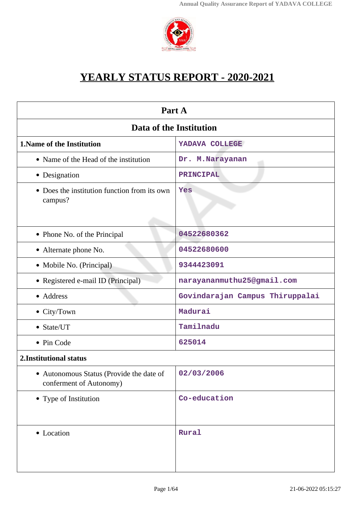

# **YEARLY STATUS REPORT - 2020-2021**

| Part A                                                              |                                 |  |
|---------------------------------------------------------------------|---------------------------------|--|
| Data of the Institution                                             |                                 |  |
| <b>1. Name of the Institution</b>                                   | YADAVA COLLEGE                  |  |
| • Name of the Head of the institution                               | Dr. M.Narayanan                 |  |
| • Designation                                                       | PRINCIPAL                       |  |
| • Does the institution function from its own<br>campus?             | Yes                             |  |
| • Phone No. of the Principal                                        | 04522680362                     |  |
| • Alternate phone No.                                               | 04522680600                     |  |
| • Mobile No. (Principal)                                            | 9344423091                      |  |
| • Registered e-mail ID (Principal)                                  | narayananmuthu25@gmail.com      |  |
| • Address                                                           | Govindarajan Campus Thiruppalai |  |
| • City/Town                                                         | Madurai                         |  |
| • State/UT                                                          | Tamilnadu                       |  |
| • Pin Code                                                          | 625014                          |  |
| 2. Institutional status                                             |                                 |  |
| • Autonomous Status (Provide the date of<br>conferment of Autonomy) | 02/03/2006                      |  |
| • Type of Institution                                               | Co-education                    |  |
| • Location                                                          | Rural                           |  |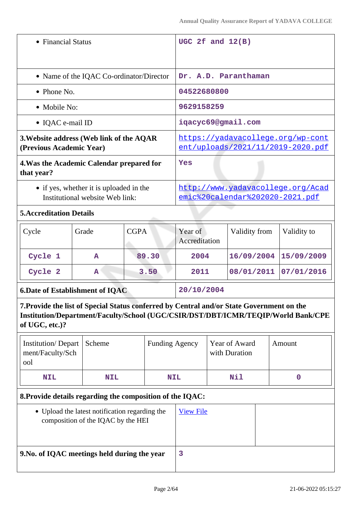| • Financial Status                                                                                                                                                                               |                                                                                      | UGC 2f and $12(B)$                                                   |       |                                                                        |  |                                |  |             |
|--------------------------------------------------------------------------------------------------------------------------------------------------------------------------------------------------|--------------------------------------------------------------------------------------|----------------------------------------------------------------------|-------|------------------------------------------------------------------------|--|--------------------------------|--|-------------|
|                                                                                                                                                                                                  |                                                                                      |                                                                      |       |                                                                        |  |                                |  |             |
|                                                                                                                                                                                                  | • Name of the IQAC Co-ordinator/Director                                             |                                                                      |       | Dr. A.D. Paranthaman                                                   |  |                                |  |             |
| • Phone No.                                                                                                                                                                                      |                                                                                      |                                                                      |       | 04522680800                                                            |  |                                |  |             |
| • Mobile No:                                                                                                                                                                                     |                                                                                      |                                                                      |       | 9629158259                                                             |  |                                |  |             |
| • IQAC e-mail ID                                                                                                                                                                                 |                                                                                      |                                                                      |       | iqacyc69@gmail.com                                                     |  |                                |  |             |
| 3. Website address (Web link of the AQAR<br>(Previous Academic Year)                                                                                                                             |                                                                                      |                                                                      |       | https://yadavacollege.org/wp-cont<br>ent/uploads/2021/11/2019-2020.pdf |  |                                |  |             |
| 4. Was the Academic Calendar prepared for<br>that year?                                                                                                                                          |                                                                                      |                                                                      |       | Yes                                                                    |  |                                |  |             |
| • if yes, whether it is uploaded in the<br>Institutional website Web link:                                                                                                                       |                                                                                      | http://www.yadavacollege.org/Acad<br>emic%20calendar%202020-2021.pdf |       |                                                                        |  |                                |  |             |
| <b>5. Accreditation Details</b>                                                                                                                                                                  |                                                                                      |                                                                      |       |                                                                        |  |                                |  |             |
| Cycle                                                                                                                                                                                            | Grade                                                                                | <b>CGPA</b>                                                          |       | Year of<br>Accreditation                                               |  | Validity from                  |  | Validity to |
| Cycle 1                                                                                                                                                                                          | $\mathbf{A}$                                                                         |                                                                      | 89.30 | 2004                                                                   |  | 16/09/2004                     |  | 15/09/2009  |
| Cycle 2                                                                                                                                                                                          | A                                                                                    | 3.50                                                                 |       | 2011                                                                   |  | 08/01/2011                     |  | 07/01/2016  |
| <b>6. Date of Establishment of IQAC</b>                                                                                                                                                          |                                                                                      | 20/10/2004                                                           |       |                                                                        |  |                                |  |             |
| 7. Provide the list of Special Status conferred by Central and/or State Government on the<br>Institution/Department/Faculty/School (UGC/CSIR/DST/DBT/ICMR/TEQIP/World Bank/CPE<br>of UGC, etc.)? |                                                                                      |                                                                      |       |                                                                        |  |                                |  |             |
| <b>Institution/Depart</b><br>ment/Faculty/Sch<br>ool                                                                                                                                             | Scheme                                                                               |                                                                      |       | <b>Funding Agency</b>                                                  |  | Year of Award<br>with Duration |  | Amount      |
| <b>NIL</b>                                                                                                                                                                                       | <b>NIL</b>                                                                           | <b>NIL</b>                                                           |       |                                                                        |  | Nil                            |  | $\mathbf 0$ |
| 8. Provide details regarding the composition of the IQAC:                                                                                                                                        |                                                                                      |                                                                      |       |                                                                        |  |                                |  |             |
|                                                                                                                                                                                                  | • Upload the latest notification regarding the<br>composition of the IQAC by the HEI |                                                                      |       | <b>View File</b>                                                       |  |                                |  |             |

| 9. No. of IQAC meetings held during the year | 3 |  |
|----------------------------------------------|---|--|
| composition of the IQAC by the HEI           |   |  |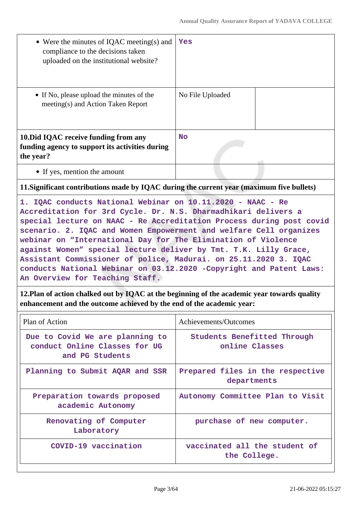| • Were the minutes of IQAC meeting(s) and<br>compliance to the decisions taken<br>uploaded on the institutional website?                                                                                                                                                                                                                                                                                                                                                                                                                                                                                                                                                                       | Yes                                                                    |  |
|------------------------------------------------------------------------------------------------------------------------------------------------------------------------------------------------------------------------------------------------------------------------------------------------------------------------------------------------------------------------------------------------------------------------------------------------------------------------------------------------------------------------------------------------------------------------------------------------------------------------------------------------------------------------------------------------|------------------------------------------------------------------------|--|
| • If No, please upload the minutes of the<br>meeting(s) and Action Taken Report                                                                                                                                                                                                                                                                                                                                                                                                                                                                                                                                                                                                                | No File Uploaded                                                       |  |
| 10. Did IQAC receive funding from any<br>funding agency to support its activities during<br>the year?                                                                                                                                                                                                                                                                                                                                                                                                                                                                                                                                                                                          | <b>No</b>                                                              |  |
| • If yes, mention the amount                                                                                                                                                                                                                                                                                                                                                                                                                                                                                                                                                                                                                                                                   |                                                                        |  |
| 11. Significant contributions made by IQAC during the current year (maximum five bullets)                                                                                                                                                                                                                                                                                                                                                                                                                                                                                                                                                                                                      |                                                                        |  |
| 1. IQAC conducts National Webinar on 10.11.2020 - NAAC - Re<br>Accreditation for 3rd Cycle. Dr. N.S. Dharmadhikari delivers a<br>special lecture on NAAC - Re Accreditation Process during post covid<br>scenario. 2. IQAC and Women Empowerment and welfare Cell organizes<br>webinar on "International Day for The Elimination of Violence<br>against Women" special lecture deliver by Tmt. T.K. Lilly Grace,<br>Assistant Commissioner of police, Madurai. on 25.11.2020 3. IQAC<br>conducts National Webinar on 03.12.2020 -Copyright and Patent Laws:<br>An Overview for Teaching Staff.<br>12. Plan of action chalked out by IQAC at the beginning of the academic year towards quality |                                                                        |  |
| enhancement and the outcome achieved by the end of the academic year:                                                                                                                                                                                                                                                                                                                                                                                                                                                                                                                                                                                                                          |                                                                        |  |
| Plan of Action<br>Due to Covid We are planning to<br>conduct Online Classes for UG                                                                                                                                                                                                                                                                                                                                                                                                                                                                                                                                                                                                             | Achievements/Outcomes<br>Students Benefitted Through<br>online Classes |  |
| and PG Students                                                                                                                                                                                                                                                                                                                                                                                                                                                                                                                                                                                                                                                                                |                                                                        |  |
| Planning to Submit AQAR and SSR                                                                                                                                                                                                                                                                                                                                                                                                                                                                                                                                                                                                                                                                | Prepared files in the respective<br>departments                        |  |
| Preparation towards proposed<br>academic Autonomy                                                                                                                                                                                                                                                                                                                                                                                                                                                                                                                                                                                                                                              | Autonomy Committee Plan to Visit                                       |  |
| Renovating of Computer<br>Laboratory                                                                                                                                                                                                                                                                                                                                                                                                                                                                                                                                                                                                                                                           | purchase of new computer.                                              |  |
| COVID-19 vaccination                                                                                                                                                                                                                                                                                                                                                                                                                                                                                                                                                                                                                                                                           | vaccinated all the student of<br>the College.                          |  |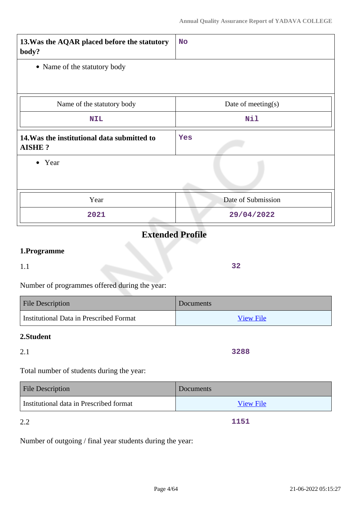| 13. Was the AQAR placed before the statutory<br>body?        | <b>No</b>          |
|--------------------------------------------------------------|--------------------|
| • Name of the statutory body                                 |                    |
|                                                              |                    |
| Name of the statutory body                                   | Date of meeting(s) |
| <b>NIL</b>                                                   | Nil                |
| 14. Was the institutional data submitted to<br><b>AISHE?</b> | Yes                |
| • Year                                                       |                    |
| Year                                                         | Date of Submission |
| 2021                                                         | 29/04/2022         |

# **Extended Profile**

# **1.Programme**

1.1

Number of programmes offered during the year:

| <b>File Description</b>                 | <b>Documents</b> |
|-----------------------------------------|------------------|
| Institutional Data in Prescribed Format | <b>View File</b> |

### **2.Student**

# 2.1

Total number of students during the year:

| <b>File Description</b>                 | <b>Documents</b> |
|-----------------------------------------|------------------|
| Institutional data in Prescribed format | <b>View File</b> |

2.2

Number of outgoing / final year students during the year:

**3288**

**1151**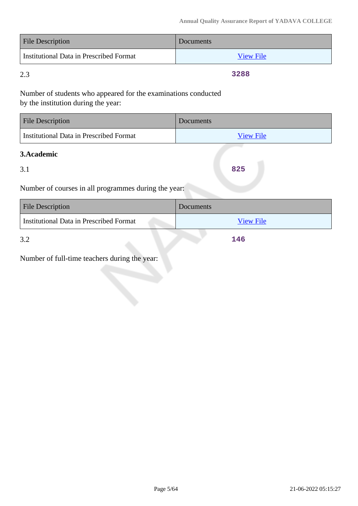| <b>File Description</b>                 | <b>Documents</b> |
|-----------------------------------------|------------------|
| Institutional Data in Prescribed Format | <b>View File</b> |

2.3

**3288**

Number of students who appeared for the examinations conducted by the institution during the year:

| <b>File Description</b>                 | <b>Documents</b> |
|-----------------------------------------|------------------|
| Institutional Data in Prescribed Format | <b>View File</b> |

### **3.Academic**

3.1

**825**

Number of courses in all programmes during the year:

| <b>File Description</b>                        | Documents        |
|------------------------------------------------|------------------|
| <b>Institutional Data in Prescribed Format</b> | <b>View File</b> |
| 3.2                                            | 146              |

3.2

Number of full-time teachers during the year: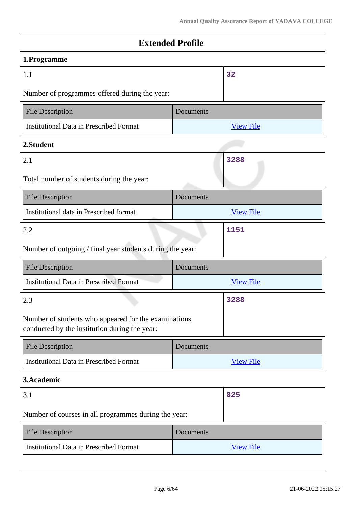| <b>Extended Profile</b>                                                                               |           |                  |
|-------------------------------------------------------------------------------------------------------|-----------|------------------|
| 1.Programme                                                                                           |           |                  |
| 1.1                                                                                                   |           | 32               |
| Number of programmes offered during the year:                                                         |           |                  |
| <b>File Description</b>                                                                               | Documents |                  |
| <b>Institutional Data in Prescribed Format</b>                                                        |           | <b>View File</b> |
| 2.Student                                                                                             |           |                  |
| 2.1                                                                                                   |           | 3288             |
| Total number of students during the year:                                                             |           |                  |
| <b>File Description</b>                                                                               | Documents |                  |
| Institutional data in Prescribed format                                                               |           | <b>View File</b> |
| 2.2                                                                                                   |           | 1151             |
| Number of outgoing / final year students during the year:                                             |           |                  |
| <b>File Description</b>                                                                               | Documents |                  |
| <b>Institutional Data in Prescribed Format</b>                                                        |           | <b>View File</b> |
| 2.3                                                                                                   |           | 3288             |
| Number of students who appeared for the examinations<br>conducted by the institution during the year: |           |                  |
| <b>File Description</b>                                                                               | Documents |                  |
| <b>Institutional Data in Prescribed Format</b>                                                        |           | <b>View File</b> |
| 3.Academic                                                                                            |           |                  |
| 3.1                                                                                                   |           | 825              |
| Number of courses in all programmes during the year:                                                  |           |                  |
| <b>File Description</b>                                                                               | Documents |                  |
| <b>Institutional Data in Prescribed Format</b>                                                        |           | <b>View File</b> |
|                                                                                                       |           |                  |

 $\overline{\phantom{a}}$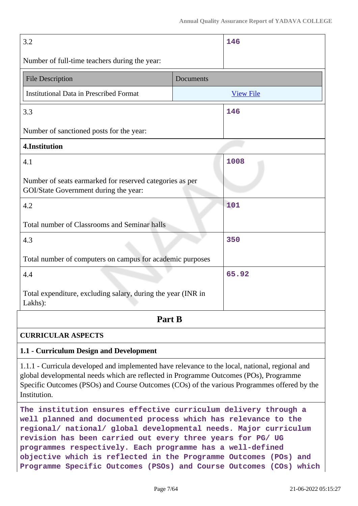| 3.2                                                                                               | 146              |  |
|---------------------------------------------------------------------------------------------------|------------------|--|
| Number of full-time teachers during the year:                                                     |                  |  |
| <b>File Description</b>                                                                           | Documents        |  |
| <b>Institutional Data in Prescribed Format</b>                                                    | <b>View File</b> |  |
| 3.3                                                                                               | 146              |  |
| Number of sanctioned posts for the year:                                                          |                  |  |
| 4.Institution                                                                                     |                  |  |
| 4.1                                                                                               | 1008             |  |
| Number of seats earmarked for reserved categories as per<br>GOI/State Government during the year: |                  |  |
| 4.2                                                                                               | 101              |  |
| Total number of Classrooms and Seminar halls                                                      |                  |  |
| 4.3                                                                                               | 350              |  |
| Total number of computers on campus for academic purposes                                         |                  |  |
| 4.4                                                                                               | 65.92            |  |
| Total expenditure, excluding salary, during the year (INR in<br>Lakhs):                           |                  |  |
| Part B                                                                                            |                  |  |
| <b>CURRICULAR ASPECTS</b>                                                                         |                  |  |
| 1.1 - Curriculum Design and Development                                                           |                  |  |

1.1.1 - Curricula developed and implemented have relevance to the local, national, regional and global developmental needs which are reflected in Programme Outcomes (POs), Programme Specific Outcomes (PSOs) and Course Outcomes (COs) of the various Programmes offered by the Institution.

**The institution ensures effective curriculum delivery through a well planned and documented process which has relevance to the regional/ national/ global developmental needs. Major curriculum revision has been carried out every three years for PG/ UG programmes respectively. Each programme has a well-defined objective which is reflected in the Programme Outcomes (POs) and Programme Specific Outcomes (PSOs) and Course Outcomes (COs) which**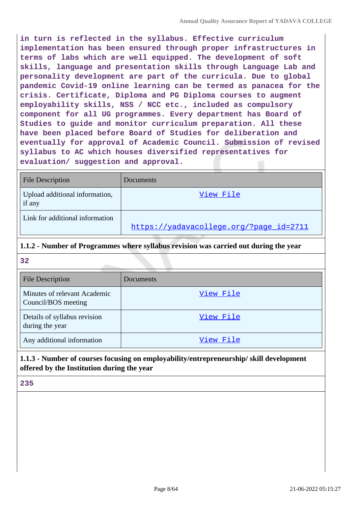**in turn is reflected in the syllabus. Effective curriculum implementation has been ensured through proper infrastructures in terms of labs which are well equipped. The development of soft skills, language and presentation skills through Language Lab and personality development are part of the curricula. Due to global pandemic Covid-19 online learning can be termed as panacea for the crisis. Certificate, Diploma and PG Diploma courses to augment employability skills, NSS / NCC etc., included as compulsory component for all UG programmes. Every department has Board of Studies to guide and monitor curriculum preparation. All these have been placed before Board of Studies for deliberation and eventually for approval of Academic Council. Submission of revised syllabus to AC which houses diversified representatives for evaluation/ suggestion and approval.**

| <b>File Description</b>                  | Documents                               |
|------------------------------------------|-----------------------------------------|
| Upload additional information,<br>if any | View File                               |
| Link for additional information          | https://yadavacollege.org/?page_id=2711 |

### **1.1.2 - Number of Programmes where syllabus revision was carried out during the year**

| 32                                                  |           |  |  |  |
|-----------------------------------------------------|-----------|--|--|--|
| <b>File Description</b>                             | Documents |  |  |  |
| Minutes of relevant Academic<br>Council/BOS meeting | View File |  |  |  |
| Details of syllabus revision<br>during the year     | View File |  |  |  |
| Any additional information                          | View File |  |  |  |

# **1.1.3 - Number of courses focusing on employability/entrepreneurship/ skill development offered by the Institution during the year**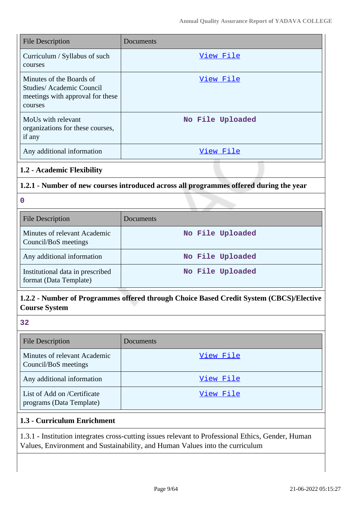| <b>File Description</b>                                                                             | Documents        |
|-----------------------------------------------------------------------------------------------------|------------------|
| Curriculum / Syllabus of such<br>courses                                                            | View File        |
| Minutes of the Boards of<br>Studies/Academic Council<br>meetings with approval for these<br>courses | View File        |
| MoUs with relevant<br>organizations for these courses,<br>if any                                    | No File Uploaded |
| Any additional information                                                                          | View File        |

### **1.2 - Academic Flexibility**

### **1.2.1 - Number of new courses introduced across all programmes offered during the year**

**0**

| <b>File Description</b>                                    | Documents        |
|------------------------------------------------------------|------------------|
| Minutes of relevant Academic<br>Council/BoS meetings       | No File Uploaded |
| Any additional information                                 | No File Uploaded |
| Institutional data in prescribed<br>format (Data Template) | No File Uploaded |

# **1.2.2 - Number of Programmes offered through Choice Based Credit System (CBCS)/Elective Course System**

| $\frac{1}{2}$ |  |
|---------------|--|
| ×             |  |
| ٩<br>۰.       |  |
|               |  |

| <b>File Description</b>                                 | Documents |
|---------------------------------------------------------|-----------|
| Minutes of relevant Academic<br>Council/BoS meetings    | View File |
| Any additional information                              | View File |
| List of Add on /Certificate<br>programs (Data Template) | View File |

### **1.3 - Curriculum Enrichment**

1.3.1 - Institution integrates cross-cutting issues relevant to Professional Ethics, Gender, Human Values, Environment and Sustainability, and Human Values into the curriculum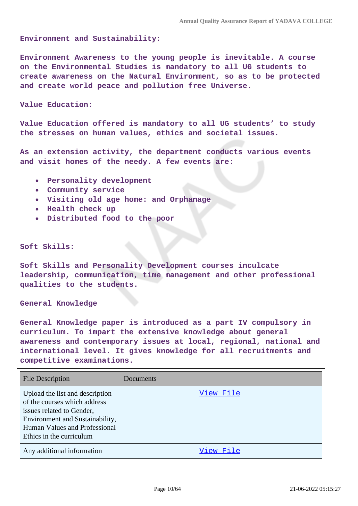#### **Environment and Sustainability:**

**Environment Awareness to the young people is inevitable. A course on the Environmental Studies is mandatory to all UG students to create awareness on the Natural Environment, so as to be protected and create world peace and pollution free Universe.**

**Value Education:** 

**Value Education offered is mandatory to all UG students' to study the stresses on human values, ethics and societal issues.**

**As an extension activity, the department conducts various events and visit homes of the needy. A few events are:**

- **Personality development**
- **Community service**
- **Visiting old age home: and Orphanage**
- **Health check up**
- **Distributed food to the poor**

#### **Soft Skills:**

**Soft Skills and Personality Development courses inculcate leadership, communication, time management and other professional qualities to the students.**

**General Knowledge** 

**General Knowledge paper is introduced as a part IV compulsory in curriculum. To impart the extensive knowledge about general awareness and contemporary issues at local, regional, national and international level. It gives knowledge for all recruitments and competitive examinations.**

| <b>File Description</b>                                                                                                                                                                      | Documents |
|----------------------------------------------------------------------------------------------------------------------------------------------------------------------------------------------|-----------|
| Upload the list and description<br>of the courses which address<br>issues related to Gender,<br>Environment and Sustainability,<br>Human Values and Professional<br>Ethics in the curriculum | View File |
| Any additional information                                                                                                                                                                   | View File |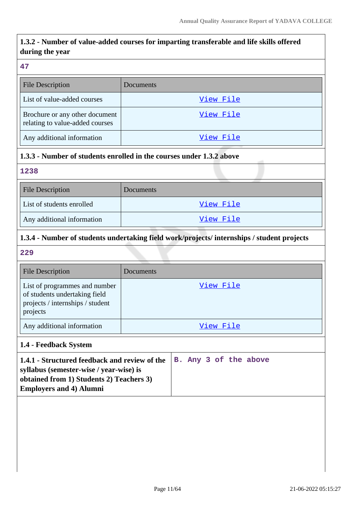# **1.3.2 - Number of value-added courses for imparting transferable and life skills offered during the year**

#### **47**

| <b>File Description</b>                                           | Documents |
|-------------------------------------------------------------------|-----------|
| List of value-added courses                                       | View File |
| Brochure or any other document<br>relating to value-added courses | View File |
| Any additional information                                        | View File |

# **1.3.3 - Number of students enrolled in the courses under 1.3.2 above**

### **1238**

| <b>File Description</b>    | Documents |
|----------------------------|-----------|
| List of students enrolled  | View File |
| Any additional information | View File |

# **1.3.4 - Number of students undertaking field work/projects/ internships / student projects**

**229**

| <b>File Description</b>                                                                                        | Documents |
|----------------------------------------------------------------------------------------------------------------|-----------|
| List of programmes and number<br>of students undertaking field<br>projects / internships / student<br>projects | View File |
| Any additional information                                                                                     | View File |

### **1.4 - Feedback System**

| 1.4.1 - Structured feedback and review of the $ B - \text{Any } 3$ of the above |  |  |  |
|---------------------------------------------------------------------------------|--|--|--|
| syllabus (semester-wise / year-wise) is                                         |  |  |  |
| obtained from 1) Students 2) Teachers 3)                                        |  |  |  |
| <b>Employers and 4) Alumni</b>                                                  |  |  |  |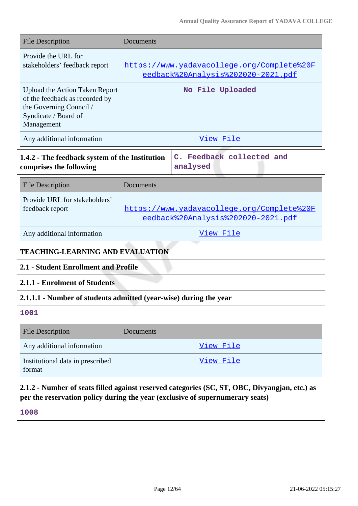| <b>File Description</b>                                                                                                                                                        | Documents                                                                        |  |  |  |  |
|--------------------------------------------------------------------------------------------------------------------------------------------------------------------------------|----------------------------------------------------------------------------------|--|--|--|--|
| Provide the URL for<br>stakeholders' feedback report                                                                                                                           | https://www.yadavacollege.org/Complete%20F<br>eedback%20Analysis%202020-2021.pdf |  |  |  |  |
| <b>Upload the Action Taken Report</b><br>of the feedback as recorded by<br>the Governing Council /<br>Syndicate / Board of<br>Management                                       | No File Uploaded                                                                 |  |  |  |  |
| Any additional information                                                                                                                                                     | View File                                                                        |  |  |  |  |
| 1.4.2 - The feedback system of the Institution<br>comprises the following                                                                                                      | C. Feedback collected and<br>analysed                                            |  |  |  |  |
| <b>File Description</b>                                                                                                                                                        | Documents                                                                        |  |  |  |  |
| Provide URL for stakeholders'<br>feedback report                                                                                                                               | https://www.yadavacollege.org/Complete%20F<br>eedback%20Analysis%202020-2021.pdf |  |  |  |  |
| Any additional information                                                                                                                                                     | View File                                                                        |  |  |  |  |
| <b>TEACHING-LEARNING AND EVALUATION</b>                                                                                                                                        |                                                                                  |  |  |  |  |
| 2.1 - Student Enrollment and Profile                                                                                                                                           |                                                                                  |  |  |  |  |
| 2.1.1 - Enrolment of Students                                                                                                                                                  |                                                                                  |  |  |  |  |
|                                                                                                                                                                                | 2.1.1.1 - Number of students admitted (year-wise) during the year                |  |  |  |  |
| 1001                                                                                                                                                                           |                                                                                  |  |  |  |  |
| <b>File Description</b>                                                                                                                                                        | Documents                                                                        |  |  |  |  |
| Any additional information                                                                                                                                                     | View File                                                                        |  |  |  |  |
| Institutional data in prescribed<br>format                                                                                                                                     | <u>View File</u>                                                                 |  |  |  |  |
| 2.1.2 - Number of seats filled against reserved categories (SC, ST, OBC, Divyangjan, etc.) as<br>per the reservation policy during the year (exclusive of supernumerary seats) |                                                                                  |  |  |  |  |
| 1008                                                                                                                                                                           |                                                                                  |  |  |  |  |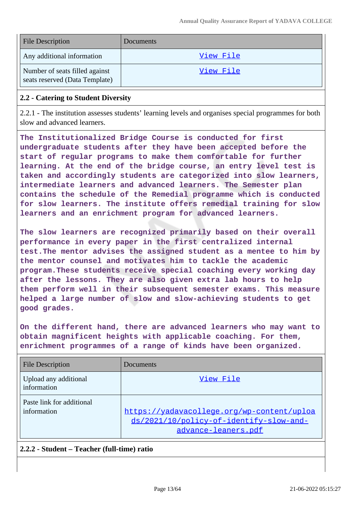| <b>File Description</b>                                          | <b>Documents</b> |
|------------------------------------------------------------------|------------------|
| Any additional information                                       | <u>View File</u> |
| Number of seats filled against<br>seats reserved (Data Template) | View File        |

#### **2.2 - Catering to Student Diversity**

2.2.1 - The institution assesses students' learning levels and organises special programmes for both slow and advanced learners.

**The Institutionalized Bridge Course is conducted for first undergraduate students after they have been accepted before the start of regular programs to make them comfortable for further learning. At the end of the bridge course, an entry level test is taken and accordingly students are categorized into slow learners, intermediate learners and advanced learners. The Semester plan contains the schedule of the Remedial programme which is conducted for slow learners. The institute offers remedial training for slow learners and an enrichment program for advanced learners.**

**The slow learners are recognized primarily based on their overall performance in every paper in the first centralized internal test.The mentor advises the assigned student as a mentee to him by the mentor counsel and motivates him to tackle the academic program.These students receive special coaching every working day after the lessons. They are also given extra lab hours to help them perform well in their subsequent semester exams. This measure helped a large number of slow and slow-achieving students to get good grades.**

**On the different hand, there are advanced learners who may want to obtain magnificent heights with applicable coaching. For them, enrichment programmes of a range of kinds have been organized.**

| <b>File Description</b>                  | Documents                                                                                                    |
|------------------------------------------|--------------------------------------------------------------------------------------------------------------|
| Upload any additional<br>information     | View File                                                                                                    |
| Paste link for additional<br>information | https://yadavacollege.org/wp-content/uploa<br>ds/2021/10/policy-of-identify-slow-and-<br>advance-leaners.pdf |

### **2.2.2 - Student – Teacher (full-time) ratio**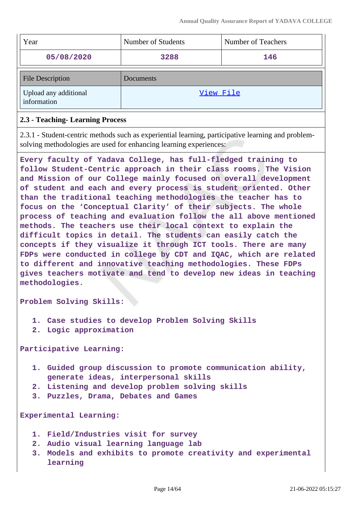| Year                                 | Number of Students | Number of Teachers |
|--------------------------------------|--------------------|--------------------|
| 05/08/2020                           | 3288               | 146                |
| <b>File Description</b>              | Documents          |                    |
| Upload any additional<br>information | View File          |                    |

### **2.3 - Teaching- Learning Process**

2.3.1 - Student-centric methods such as experiential learning, participative learning and problemsolving methodologies are used for enhancing learning experiences:

**Every faculty of Yadava College, has full-fledged training to follow Student-Centric approach in their class rooms. The Vision and Mission of our College mainly focused on overall development of student and each and every process is student oriented. Other than the traditional teaching methodologies the teacher has to focus on the 'Conceptual Clarity' of their subjects. The whole process of teaching and evaluation follow the all above mentioned methods. The teachers use their local context to explain the difficult topics in detail. The students can easily catch the concepts if they visualize it through ICT tools. There are many FDPs were conducted in college by CDT and IQAC, which are related to different and innovative teaching methodologies. These FDPs gives teachers motivate and tend to develop new ideas in teaching methodologies.**

**Problem Solving Skills:**

- **1. Case studies to develop Problem Solving Skills**
- **2. Logic approximation**

**Participative Learning:**

- **1. Guided group discussion to promote communication ability, generate ideas, interpersonal skills**
- **2. Listening and develop problem solving skills**
- **3. Puzzles, Drama, Debates and Games**

**Experimental Learning:**

- **1. Field/Industries visit for survey**
- **2. Audio visual learning language lab**
- **3. Models and exhibits to promote creativity and experimental learning**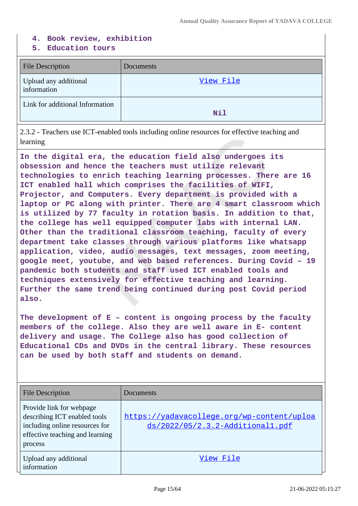#### **4. Book review, exhibition**

#### **5. Education tours**

| <b>File Description</b>              | Documents  |
|--------------------------------------|------------|
| Upload any additional<br>information | View File  |
| Link for additional Information      | <b>Nil</b> |

2.3.2 - Teachers use ICT-enabled tools including online resources for effective teaching and learning

**In the digital era, the education field also undergoes its obsession and hence the teachers must utilize relevant technologies to enrich teaching learning processes. There are 16 ICT enabled hall which comprises the facilities of WIFI, Projector, and Computers. Every department is provided with a laptop or PC along with printer. There are 4 smart classroom which is utilized by 77 faculty in rotation basis. In addition to that, the college has well equipped computer labs with internal LAN. Other than the traditional classroom teaching, faculty of every department take classes through various platforms like whatsapp application, video, audio messages, text messages, zoom meeting, google meet, youtube, and web based references. During Covid – 19 pandemic both students and staff used ICT enabled tools and techniques extensively for effective teaching and learning. Further the same trend being continued during post Covid period also.**

**The development of E – content is ongoing process by the faculty members of the college. Also they are well aware in E- content delivery and usage. The College also has good collection of Educational CDs and DVDs in the central library. These resources can be used by both staff and students on demand.**

| <b>File Description</b>                                                                                                                  | Documents                                                                      |
|------------------------------------------------------------------------------------------------------------------------------------------|--------------------------------------------------------------------------------|
| Provide link for webpage<br>describing ICT enabled tools<br>including online resources for<br>effective teaching and learning<br>process | https://yadavacollege.org/wp-content/uploa<br>ds/2022/05/2.3.2-Additional1.pdf |
| Upload any additional<br>information                                                                                                     | View File                                                                      |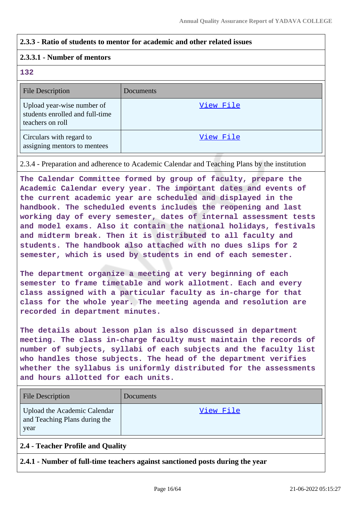### **2.3.3 - Ratio of students to mentor for academic and other related issues**

#### **2.3.3.1 - Number of mentors**

#### **132**

| <b>File Description</b>                                                           | Documents |
|-----------------------------------------------------------------------------------|-----------|
| Upload year-wise number of<br>students enrolled and full-time<br>teachers on roll | View File |
| Circulars with regard to<br>assigning mentors to mentees                          | View File |

2.3.4 - Preparation and adherence to Academic Calendar and Teaching Plans by the institution

**The Calendar Committee formed by group of faculty, prepare the Academic Calendar every year. The important dates and events of the current academic year are scheduled and displayed in the handbook. The scheduled events includes the reopening and last working day of every semester, dates of internal assessment tests and model exams. Also it contain the national holidays, festivals and midterm break. Then it is distributed to all faculty and students. The handbook also attached with no dues slips for 2 semester, which is used by students in end of each semester.**

**The department organize a meeting at very beginning of each semester to frame timetable and work allotment. Each and every class assigned with a particular faculty as in-charge for that class for the whole year. The meeting agenda and resolution are recorded in department minutes.**

**The details about lesson plan is also discussed in department meeting. The class in-charge faculty must maintain the records of number of subjects, syllabi of each subjects and the faculty list who handles those subjects. The head of the department verifies whether the syllabus is uniformly distributed for the assessments and hours allotted for each units.**

| <b>File Description</b>                                               | Documents |
|-----------------------------------------------------------------------|-----------|
| Upload the Academic Calendar<br>and Teaching Plans during the<br>year | View File |

### **2.4 - Teacher Profile and Quality**

**2.4.1 - Number of full-time teachers against sanctioned posts during the year**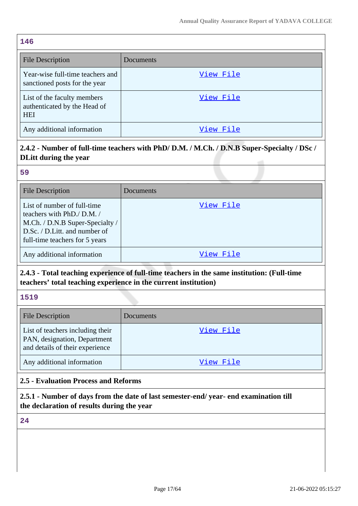| <b>File Description</b>                                                   | Documents |
|---------------------------------------------------------------------------|-----------|
| Year-wise full-time teachers and<br>sanctioned posts for the year         | View File |
| List of the faculty members<br>authenticated by the Head of<br><b>HEI</b> | View File |
| Any additional information                                                | View File |

# **2.4.2 - Number of full-time teachers with PhD/ D.M. / M.Ch. / D.N.B Super-Specialty / DSc / DLitt during the year**

#### **59**

| <b>File Description</b>                                                                                                                                        | Documents |
|----------------------------------------------------------------------------------------------------------------------------------------------------------------|-----------|
| List of number of full-time<br>teachers with PhD./ D.M./<br>M.Ch. / D.N.B Super-Specialty /<br>D.Sc. / D.Litt. and number of<br>full-time teachers for 5 years | View File |
| Any additional information                                                                                                                                     | View File |

# **2.4.3 - Total teaching experience of full-time teachers in the same institution: (Full-time teachers' total teaching experience in the current institution)**

#### **1519**

| <b>File Description</b>                                                                             | Documents |
|-----------------------------------------------------------------------------------------------------|-----------|
| List of teachers including their<br>PAN, designation, Department<br>and details of their experience | View File |
| Any additional information                                                                          | View File |

### **2.5 - Evaluation Process and Reforms**

### **2.5.1 - Number of days from the date of last semester-end/ year- end examination till the declaration of results during the year**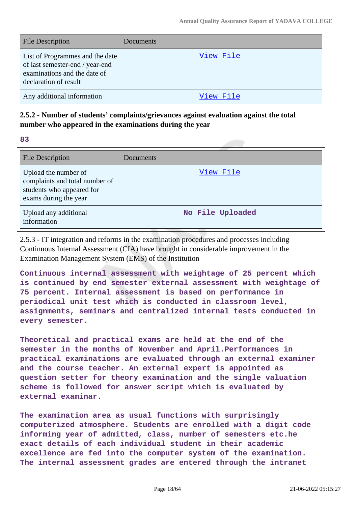| <b>File Description</b>                                                                                                     | Documents |
|-----------------------------------------------------------------------------------------------------------------------------|-----------|
| List of Programmes and the date<br>of last semester-end / year-end<br>examinations and the date of<br>declaration of result | View File |
| Any additional information                                                                                                  | View File |

### **2.5.2 - Number of students' complaints/grievances against evaluation against the total number who appeared in the examinations during the year**

**83**

| <b>File Description</b>                                                                                      | Documents        |
|--------------------------------------------------------------------------------------------------------------|------------------|
| Upload the number of<br>complaints and total number of<br>students who appeared for<br>exams during the year | View File        |
| Upload any additional<br>information                                                                         | No File Uploaded |

2.5.3 - IT integration and reforms in the examination procedures and processes including Continuous Internal Assessment (CIA) have brought in considerable improvement in the Examination Management System (EMS) of the Institution

**Continuous internal assessment with weightage of 25 percent which is continued by end semester external assessment with weightage of 75 percent. Internal assessment is based on performance in periodical unit test which is conducted in classroom level, assignments, seminars and centralized internal tests conducted in every semester.**

**Theoretical and practical exams are held at the end of the semester in the months of November and April.Performances in practical examinations are evaluated through an external examiner and the course teacher. An external expert is appointed as question setter for theory examination and the single valuation scheme is followed for answer script which is evaluated by external examinar.**

**The examination area as usual functions with surprisingly computerized atmosphere. Students are enrolled with a digit code informing year of admitted, class, number of semesters etc.he exact details of each individual student in their academic excellence are fed into the computer system of the examination. The internal assessment grades are entered through the intranet**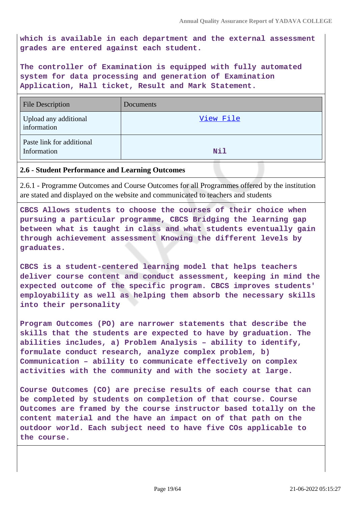**which is available in each department and the external assessment grades are entered against each student.**

**The controller of Examination is equipped with fully automated system for data processing and generation of Examination Application, Hall ticket, Result and Mark Statement.**

| <b>File Description</b>                  | Documents  |
|------------------------------------------|------------|
| Upload any additional<br>information     | View File  |
| Paste link for additional<br>Information | <b>Nil</b> |

#### **2.6 - Student Performance and Learning Outcomes**

2.6.1 - Programme Outcomes and Course Outcomes for all Programmes offered by the institution are stated and displayed on the website and communicated to teachers and students

**CBCS Allows students to choose the courses of their choice when pursuing a particular programme, CBCS Bridging the learning gap between what is taught in class and what students eventually gain through achievement assessment Knowing the different levels by graduates.**

**CBCS is a student-centered learning model that helps teachers deliver course content and conduct assessment, keeping in mind the expected outcome of the specific program. CBCS improves students' employability as well as helping them absorb the necessary skills into their personality**

**Program Outcomes (PO) are narrower statements that describe the skills that the students are expected to have by graduation. The abilities includes, a) Problem Analysis – ability to identify, formulate conduct research, analyze complex problem, b) Communication – ability to communicate effectively on complex activities with the community and with the society at large.**

**Course Outcomes (CO) are precise results of each course that can be completed by students on completion of that course. Course Outcomes are framed by the course instructor based totally on the content material and the have an impact on of that path on the outdoor world. Each subject need to have five COs applicable to the course.**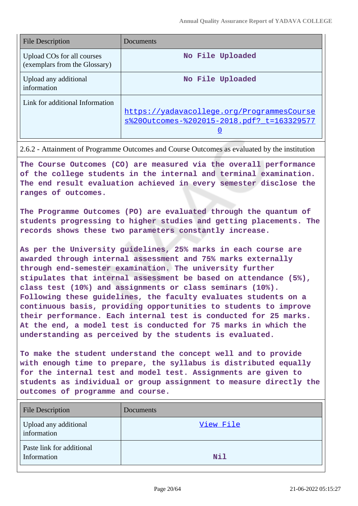| <b>File Description</b>                                     | Documents                                                                                |
|-------------------------------------------------------------|------------------------------------------------------------------------------------------|
| Upload COs for all courses<br>(exemplars from the Glossary) | No File Uploaded                                                                         |
| Upload any additional<br>information                        | No File Uploaded                                                                         |
| Link for additional Information                             | https://yadavacollege.org/ProgrammesCourse<br>s%200utcomes-%202015-2018.pdf? t=163329577 |

2.6.2 - Attainment of Programme Outcomes and Course Outcomes as evaluated by the institution

**The Course Outcomes (CO) are measured via the overall performance of the college students in the internal and terminal examination. The end result evaluation achieved in every semester disclose the ranges of outcomes.**

**The Programme Outcomes (PO) are evaluated through the quantum of students progressing to higher studies and getting placements. The records shows these two parameters constantly increase.**

**As per the University guidelines, 25% marks in each course are awarded through internal assessment and 75% marks externally through end-semester examination. The university further stipulates that internal assessment be based on attendance (5%), class test (10%) and assignments or class seminars (10%). Following these guidelines, the faculty evaluates students on a continuous basis, providing opportunities to students to improve their performance. Each internal test is conducted for 25 marks. At the end, a model test is conducted for 75 marks in which the understanding as perceived by the students is evaluated.**

**To make the student understand the concept well and to provide with enough time to prepare, the syllabus is distributed equally for the internal test and model test. Assignments are given to students as individual or group assignment to measure directly the outcomes of programme and course.**

| <b>File Description</b>                  | Documents  |
|------------------------------------------|------------|
| Upload any additional<br>information     | View File  |
| Paste link for additional<br>Information | <b>Nil</b> |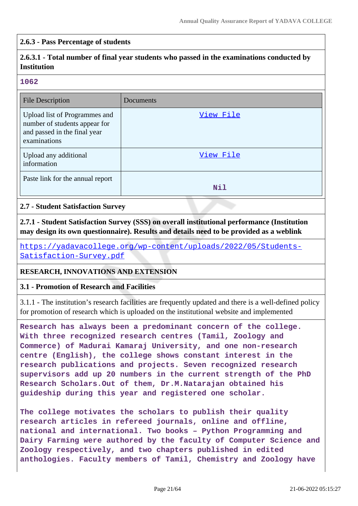### **2.6.3 - Pass Percentage of students**

# **2.6.3.1 - Total number of final year students who passed in the examinations conducted by Institution**

#### **1062**

| <b>File Description</b>                                                                                        | Documents  |
|----------------------------------------------------------------------------------------------------------------|------------|
| Upload list of Programmes and<br>number of students appear for<br>and passed in the final year<br>examinations | View File  |
| Upload any additional<br>information                                                                           | View File  |
| Paste link for the annual report                                                                               | <b>Nil</b> |

#### **2.7 - Student Satisfaction Survey**

**2.7.1 - Student Satisfaction Survey (SSS) on overall institutional performance (Institution may design its own questionnaire). Results and details need to be provided as a weblink**

[https://yadavacollege.org/wp-content/uploads/2022/05/Students-](https://yadavacollege.org/wp-content/uploads/2022/05/Students-Satisfaction-Survey.pdf)[Satisfaction-Survey.pdf](https://yadavacollege.org/wp-content/uploads/2022/05/Students-Satisfaction-Survey.pdf)

#### **RESEARCH, INNOVATIONS AND EXTENSION**

#### **3.1 - Promotion of Research and Facilities**

3.1.1 - The institution's research facilities are frequently updated and there is a well-defined policy for promotion of research which is uploaded on the institutional website and implemented

**Research has always been a predominant concern of the college. With three recognized research centres (Tamil, Zoology and Commerce) of Madurai Kamaraj University, and one non-research centre (English), the college shows constant interest in the research publications and projects. Seven recognized research supervisors add up 20 numbers in the current strength of the PhD Research Scholars.Out of them, Dr.M.Natarajan obtained his guideship during this year and registered one scholar.**

**The college motivates the scholars to publish their quality research articles in refereed journals, online and offline, national and international. Two books – Python Programming and Dairy Farming were authored by the faculty of Computer Science and Zoology respectively, and two chapters published in edited anthologies. Faculty members of Tamil, Chemistry and Zoology have**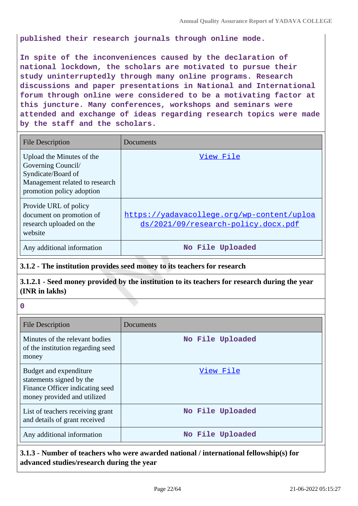**published their research journals through online mode.**

**In spite of the inconveniences caused by the declaration of national lockdown, the scholars are motivated to pursue their study uninterruptedly through many online programs. Research discussions and paper presentations in National and International forum through online were considered to be a motivating factor at this juncture. Many conferences, workshops and seminars were attended and exchange of ideas regarding research topics were made by the staff and the scholars.**

| <b>File Description</b>                                                                                                              | Documents                                                                         |
|--------------------------------------------------------------------------------------------------------------------------------------|-----------------------------------------------------------------------------------|
| Upload the Minutes of the<br>Governing Council/<br>Syndicate/Board of<br>Management related to research<br>promotion policy adoption | View File                                                                         |
| Provide URL of policy<br>document on promotion of<br>research uploaded on the<br>website                                             | https://yadavacollege.org/wp-content/uploa<br>ds/2021/09/research-policy.docx.pdf |
| Any additional information                                                                                                           | No File Uploaded                                                                  |

### **3.1.2 - The institution provides seed money to its teachers for research**

### **3.1.2.1 - Seed money provided by the institution to its teachers for research during the year (INR in lakhs)**

**0**

| <b>File Description</b>                                                                                              | Documents        |
|----------------------------------------------------------------------------------------------------------------------|------------------|
| Minutes of the relevant bodies<br>of the institution regarding seed<br>money                                         | No File Uploaded |
| Budget and expenditure<br>statements signed by the<br>Finance Officer indicating seed<br>money provided and utilized | View File        |
| List of teachers receiving grant<br>and details of grant received                                                    | No File Uploaded |
| Any additional information                                                                                           | No File Uploaded |

# **3.1.3 - Number of teachers who were awarded national / international fellowship(s) for advanced studies/research during the year**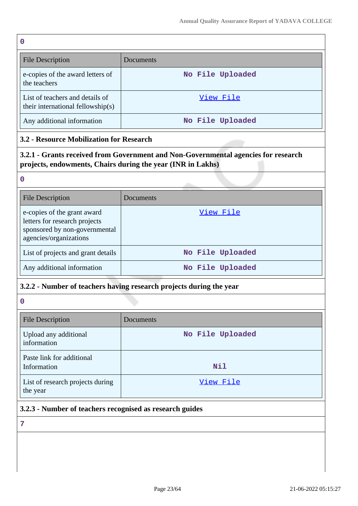| 0 |                                                                      |                  |
|---|----------------------------------------------------------------------|------------------|
|   | File Description                                                     | Documents        |
|   | e-copies of the award letters of<br>the teachers                     | No File Uploaded |
|   | List of teachers and details of<br>their international fellowship(s) | View File        |
|   | Any additional information                                           | No File Uploaded |

# **3.2 - Resource Mobilization for Research**

**3.2.1 - Grants received from Government and Non-Governmental agencies for research projects, endowments, Chairs during the year (INR in Lakhs)**

| $\rightarrow$ |          |  |
|---------------|----------|--|
| P.            |          |  |
|               |          |  |
|               |          |  |
|               | ۰.<br>۰. |  |

| <b>File Description</b>                                                                                                 | Documents        |
|-------------------------------------------------------------------------------------------------------------------------|------------------|
| e-copies of the grant award<br>letters for research projects<br>sponsored by non-governmental<br>agencies/organizations | View File        |
| List of projects and grant details                                                                                      | No File Uploaded |
| Any additional information                                                                                              | No File Uploaded |

### **3.2.2 - Number of teachers having research projects during the year**

**0**

| <b>File Description</b>                      | Documents        |
|----------------------------------------------|------------------|
| Upload any additional<br>information         | No File Uploaded |
| Paste link for additional<br>Information     | <b>Nil</b>       |
| List of research projects during<br>the year | View File        |

# **3.2.3 - Number of teachers recognised as research guides**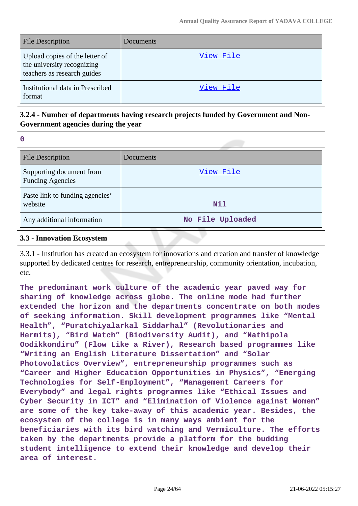| <b>File Description</b>                                                                     | Documents |
|---------------------------------------------------------------------------------------------|-----------|
| Upload copies of the letter of<br>the university recognizing<br>teachers as research guides | View File |
| Institutional data in Prescribed<br>format                                                  | View File |

### **3.2.4 - Number of departments having research projects funded by Government and Non-Government agencies during the year**

**0**

| <b>File Description</b>                             | Documents        |
|-----------------------------------------------------|------------------|
| Supporting document from<br><b>Funding Agencies</b> | View File        |
| Paste link to funding agencies'<br>website          | <b>Nil</b>       |
| Any additional information                          | No File Uploaded |

### **3.3 - Innovation Ecosystem**

3.3.1 - Institution has created an ecosystem for innovations and creation and transfer of knowledge supported by dedicated centres for research, entrepreneurship, community orientation, incubation, etc.

**The predominant work culture of the academic year paved way for sharing of knowledge across globe. The online mode had further extended the horizon and the departments concentrate on both modes of seeking information. Skill development programmes like "Mental Health", "Puratchiyalarkal Siddarhal" (Revolutionaries and Hermits), "Bird Watch" (Biodiversity Audit), and "Nathipola Oodikkondiru" (Flow Like a River), Research based programmes like "Writing an English Literature Dissertation" and "Solar Photovolatics Overview", entrepreneurship programmes such as "Career and Higher Education Opportunities in Physics", "Emerging Technologies for Self-Employment", "Management Careers for Everybody" and legal rights programmes like "Ethical Issues and Cyber Security in ICT" and "Elimination of Violence against Women" are some of the key take-away of this academic year. Besides, the ecosystem of the college is in many ways ambient for the beneficiaries with its bird watching and Vermiculture. The efforts taken by the departments provide a platform for the budding student intelligence to extend their knowledge and develop their area of interest.**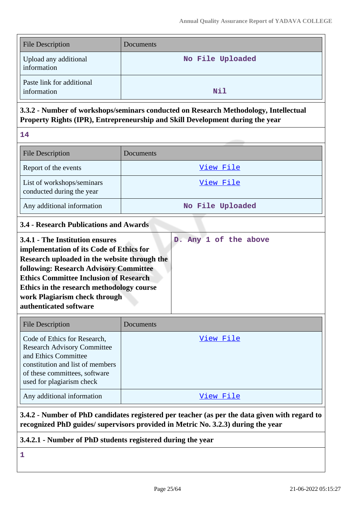| <b>File Description</b>                  | Documents        |
|------------------------------------------|------------------|
| Upload any additional<br>information     | No File Uploaded |
| Paste link for additional<br>information | <b>Nil</b>       |

# **3.3.2 - Number of workshops/seminars conducted on Research Methodology, Intellectual Property Rights (IPR), Entrepreneurship and Skill Development during the year**

**14**

| <b>File Description</b>                                 | Documents        |
|---------------------------------------------------------|------------------|
| Report of the events                                    | View File        |
| List of workshops/seminars<br>conducted during the year | View File        |
| Any additional information                              | No File Uploaded |

# **3.4 - Research Publications and Awards**

| 3.4.1 - The Institution ensures               |  |  | D. Any 1 of the above |
|-----------------------------------------------|--|--|-----------------------|
| implementation of its Code of Ethics for      |  |  |                       |
| Research uploaded in the website through the  |  |  |                       |
| <b>following: Research Advisory Committee</b> |  |  |                       |
| <b>Ethics Committee Inclusion of Research</b> |  |  |                       |
| Ethics in the research methodology course     |  |  |                       |
| work Plagiarism check through                 |  |  |                       |
| authenticated software                        |  |  |                       |

| <b>File Description</b>                                                                                                                                                                      | Documents |
|----------------------------------------------------------------------------------------------------------------------------------------------------------------------------------------------|-----------|
| Code of Ethics for Research,<br><b>Research Advisory Committee</b><br>and Ethics Committee<br>constitution and list of members<br>of these committees, software<br>used for plagiarism check | View File |
| Any additional information                                                                                                                                                                   | View File |

### **3.4.2 - Number of PhD candidates registered per teacher (as per the data given with regard to recognized PhD guides/ supervisors provided in Metric No. 3.2.3) during the year**

### **3.4.2.1 - Number of PhD students registered during the year**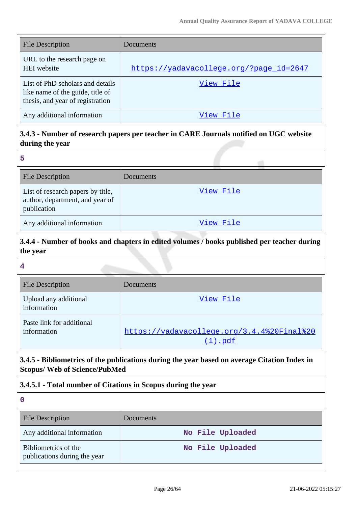| <b>File Description</b>                                                                                  | Documents                               |
|----------------------------------------------------------------------------------------------------------|-----------------------------------------|
| URL to the research page on<br><b>HEI</b> website                                                        | https://yadavacollege.org/?page_id=2647 |
| List of PhD scholars and details<br>like name of the guide, title of<br>thesis, and year of registration | View File                               |
| Any additional information                                                                               | View File                               |

# **3.4.3 - Number of research papers per teacher in CARE Journals notified on UGC website during the year**

| <b>File Description</b>                                                             | Documents |
|-------------------------------------------------------------------------------------|-----------|
| List of research papers by title,<br>author, department, and year of<br>publication | View File |
| Any additional information                                                          | View File |

# **3.4.4 - Number of books and chapters in edited volumes / books published per teacher during the year**

#### **4**

| <b>File Description</b>                  | Documents                                                   |
|------------------------------------------|-------------------------------------------------------------|
| Upload any additional<br>information     | View File                                                   |
| Paste link for additional<br>information | https://yadavacollege.org/3.4.4%20Final%20<br>$(1)$ . $pdf$ |

# **3.4.5 - Bibliometrics of the publications during the year based on average Citation Index in Scopus/ Web of Science/PubMed**

# **3.4.5.1 - Total number of Citations in Scopus during the year**

| <b>File Description</b>                              | <b>Documents</b> |
|------------------------------------------------------|------------------|
| Any additional information                           | No File Uploaded |
| Bibliometrics of the<br>publications during the year | No File Uploaded |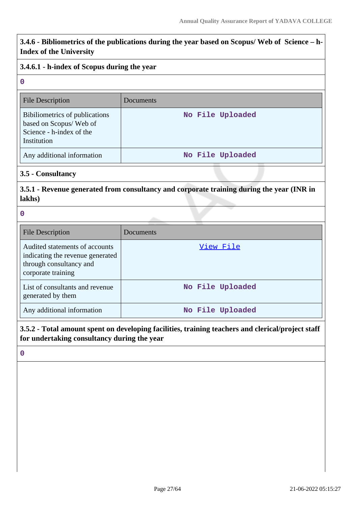**3.4.6 - Bibliometrics of the publications during the year based on Scopus/ Web of Science – h-Index of the University**

### **3.4.6.1 - h-index of Scopus during the year**

#### **0**

| <b>File Description</b>                                                                             | Documents        |
|-----------------------------------------------------------------------------------------------------|------------------|
| Bibiliometrics of publications<br>based on Scopus/Web of<br>Science - h-index of the<br>Institution | No File Uploaded |
| Any additional information                                                                          | No File Uploaded |

#### **3.5 - Consultancy**

**3.5.1 - Revenue generated from consultancy and corporate training during the year (INR in lakhs)**

**0**

| <b>File Description</b>                                                                                             | Documents        |
|---------------------------------------------------------------------------------------------------------------------|------------------|
| Audited statements of accounts<br>indicating the revenue generated<br>through consultancy and<br>corporate training | View File        |
| List of consultants and revenue<br>generated by them                                                                | No File Uploaded |
| Any additional information                                                                                          | No File Uploaded |

**3.5.2 - Total amount spent on developing facilities, training teachers and clerical/project staff for undertaking consultancy during the year**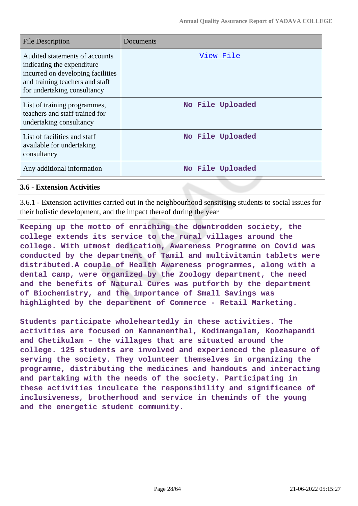| <b>File Description</b>                                                                                                                                             | Documents        |
|---------------------------------------------------------------------------------------------------------------------------------------------------------------------|------------------|
| Audited statements of accounts<br>indicating the expenditure<br>incurred on developing facilities<br>and training teachers and staff<br>for undertaking consultancy | View File        |
| List of training programmes,<br>teachers and staff trained for<br>undertaking consultancy                                                                           | No File Uploaded |
| List of facilities and staff<br>available for undertaking<br>consultancy                                                                                            | No File Uploaded |
| Any additional information                                                                                                                                          | No File Uploaded |

#### **3.6 - Extension Activities**

3.6.1 - Extension activities carried out in the neighbourhood sensitising students to social issues for their holistic development, and the impact thereof during the year

**Keeping up the motto of enriching the downtrodden society, the college extends its service to the rural villages around the college. With utmost dedication, Awareness Programme on Covid was conducted by the department of Tamil and multivitamin tablets were distributed.A couple of Health Awareness programmes, along with a dental camp, were organized by the Zoology department, the need and the benefits of Natural Cures was putforth by the department of Biochemistry, and the importance of Small Savings was highlighted by the department of Commerce - Retail Marketing.**

**Students participate wholeheartedly in these activities. The activities are focused on Kannanenthal, Kodimangalam, Koozhapandi and Chetikulam – the villages that are situated around the college. 125 students are involved and experienced the pleasure of serving the society. They volunteer themselves in organizing the programme, distributing the medicines and handouts and interacting and partaking with the needs of the society. Participating in these activities inculcate the responsibility and significance of inclusiveness, brotherhood and service in theminds of the young and the energetic student community.**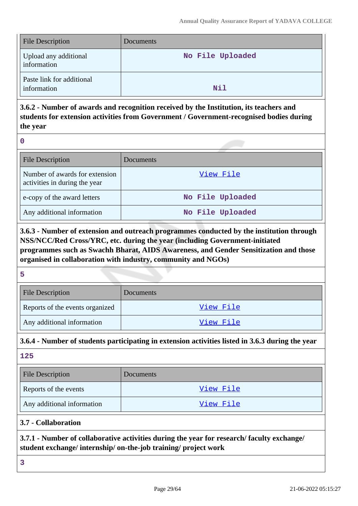| <b>File Description</b>                  | Documents        |
|------------------------------------------|------------------|
| Upload any additional<br>information     | No File Uploaded |
| Paste link for additional<br>information | <b>Nil</b>       |

**3.6.2 - Number of awards and recognition received by the Institution, its teachers and students for extension activities from Government / Government-recognised bodies during the year**

**0**

| <b>File Description</b>                                         | Documents        |
|-----------------------------------------------------------------|------------------|
| Number of awards for extension<br>activities in during the year | View File        |
| e-copy of the award letters                                     | No File Uploaded |
| Any additional information                                      | No File Uploaded |

**3.6.3 - Number of extension and outreach programmes conducted by the institution through NSS/NCC/Red Cross/YRC, etc. during the year (including Government-initiated programmes such as Swachh Bharat, AIDS Awareness, and Gender Sensitization and those organised in collaboration with industry, community and NGOs)**

**5**

| <b>File Description</b>         | Documents |
|---------------------------------|-----------|
| Reports of the events organized | View File |
| Any additional information      | View File |

### **3.6.4 - Number of students participating in extension activities listed in 3.6.3 during the year**

**125** File Description Documents Reports of the events and the vents of the events and the view File Any additional information and the state of the [View File](https://assessmentonline.naac.gov.in/storage/app/public/aqar/18520/18520_249_573.pdf?1655811925)

# **3.7 - Collaboration**

**3.7.1 - Number of collaborative activities during the year for research/ faculty exchange/ student exchange/ internship/ on-the-job training/ project work**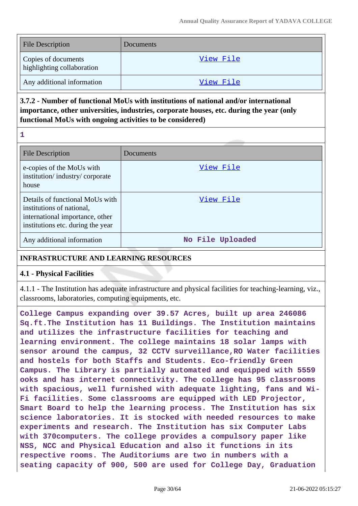| <b>File Description</b>                           | <b>Documents</b> |
|---------------------------------------------------|------------------|
| Copies of documents<br>highlighting collaboration | View File        |
| Any additional information                        | View File        |

# **3.7.2 - Number of functional MoUs with institutions of national and/or international importance, other universities, industries, corporate houses, etc. during the year (only functional MoUs with ongoing activities to be considered)**

**1**

| <b>File Description</b>                                                                                                              | Documents        |
|--------------------------------------------------------------------------------------------------------------------------------------|------------------|
| e-copies of the MoUs with<br>institution/industry/corporate<br>house                                                                 | View File        |
| Details of functional MoUs with<br>institutions of national,<br>international importance, other<br>institutions etc. during the year | View File        |
| Any additional information                                                                                                           | No File Uploaded |

### **INFRASTRUCTURE AND LEARNING RESOURCES**

### **4.1 - Physical Facilities**

4.1.1 - The Institution has adequate infrastructure and physical facilities for teaching-learning, viz., classrooms, laboratories, computing equipments, etc.

**College Campus expanding over 39.57 Acres, built up area 246086 Sq.ft.The Institution has 11 Buildings. The Institution maintains and utilizes the infrastructure facilities for teaching and learning environment. The college maintains 18 solar lamps with sensor around the campus, 32 CCTV surveillance,RO Water facilities and hostels for both Staffs and Students. Eco-friendly Green Campus. The Library is partially automated and equipped with 5559 ooks and has internet connectivity. The college has 95 classrooms with spacious, well furnished with adequate lighting, fans and Wi-Fi facilities. Some classrooms are equipped with LED Projector, Smart Board to help the learning process. The Institution has six science laboratories. It is stocked with needed resources to make experiments and research. The Institution has six Computer Labs with 370computers. The college provides a compulsory paper like NSS, NCC and Physical Education and also it functions in its respective rooms. The Auditoriums are two in numbers with a seating capacity of 900, 500 are used for College Day, Graduation**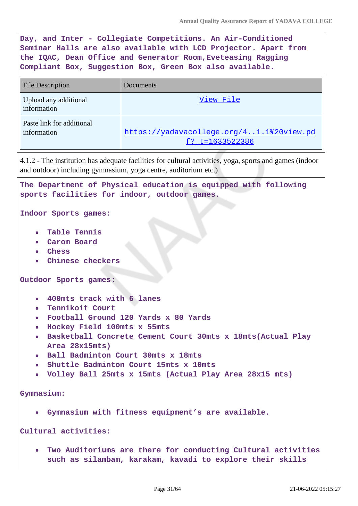**Day, and Inter - Collegiate Competitions. An Air-Conditioned Seminar Halls are also available with LCD Projector. Apart from the IQAC, Dean Office and Generator Room,Eveteasing Ragging Compliant Box, Suggestion Box, Green Box also available.**

| <b>File Description</b>                  | Documents                                                   |
|------------------------------------------|-------------------------------------------------------------|
| Upload any additional<br>information     | View File                                                   |
| Paste link for additional<br>information | https://yadavacollege.org/41.1%20view.pd<br>f? t=1633522386 |

4.1.2 - The institution has adequate facilities for cultural activities, yoga, sports and games (indoor and outdoor) including gymnasium, yoga centre, auditorium etc.)

**The Department of Physical education is equipped with following sports facilities for indoor, outdoor games.**

**Indoor Sports games:**

- **Table Tennis**
- **Carom Board**
- **Chess**
- **Chinese checkers**

**Outdoor Sports games:**

- **400mts track with 6 lanes**
- **Tennikoit Court**  $\blacksquare$
- **Football Ground 120 Yards x 80 Yards**
- **Hockey Field 100mts x 55mts**
- **Basketball Concrete Cement Court 30mts x 18mts(Actual Play Area 28x15mts)**
- **Ball Badminton Court 30mts x 18mts**
- **Shuttle Badminton Court 15mts x 10mts**
- **Volley Ball 25mts x 15mts (Actual Play Area 28x15 mts)**

**Gymnasium:**

**Gymnasium with fitness equipment's are available.**

**Cultural activities:**

**Two Auditoriums are there for conducting Cultural activities such as silambam, karakam, kavadi to explore their skills**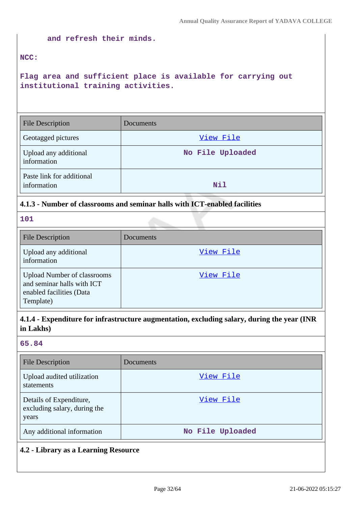### **and refresh their minds.**

### **NCC:**

**Flag area and sufficient place is available for carrying out institutional training activities.**

| <b>File Description</b>                  | Documents        |  |
|------------------------------------------|------------------|--|
| Geotagged pictures                       | View File        |  |
| Upload any additional<br>information     | No File Uploaded |  |
| Paste link for additional<br>information | Nil              |  |

### **4.1.3 - Number of classrooms and seminar halls with ICT-enabled facilities**

### **101**

| <b>File Description</b>                                                                                   | <b>Documents</b> |
|-----------------------------------------------------------------------------------------------------------|------------------|
| Upload any additional<br>information                                                                      | View File        |
| <b>Upload Number of classrooms</b><br>and seminar halls with ICT<br>enabled facilities (Data<br>Template) | View File        |

# **4.1.4 - Expenditure for infrastructure augmentation, excluding salary, during the year (INR in Lakhs)**

#### **65.84**

| <b>File Description</b>                                          | Documents        |
|------------------------------------------------------------------|------------------|
| Upload audited utilization<br>statements                         | View File        |
| Details of Expenditure,<br>excluding salary, during the<br>years | View File        |
| Any additional information                                       | No File Uploaded |

# **4.2 - Library as a Learning Resource**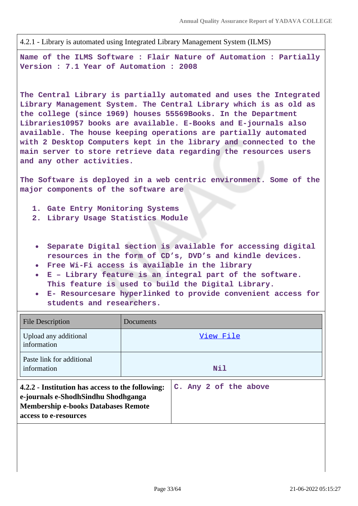4.2.1 - Library is automated using Integrated Library Management System (ILMS)

**Name of the ILMS Software : Flair Nature of Automation : Partially Version : 7.1 Year of Automation : 2008**

**The Central Library is partially automated and uses the Integrated Library Management System. The Central Library which is as old as the college (since 1969) houses 55569Books. In the Department Libraries10957 books are available. E-Books and E-journals also available. The house keeping operations are partially automated with 2 Desktop Computers kept in the library and connected to the main server to store retrieve data regarding the resources users and any other activities.**

**The Software is deployed in a web centric environment. Some of the major components of the software are**

- **1. Gate Entry Monitoring Systems**
- **2. Library Usage Statistics Module**
- **Separate Digital section is available for accessing digital resources in the form of CD's, DVD's and kindle devices.**
- **Free Wi-Fi access is available in the library**
- **E Library feature is an integral part of the software. This feature is used to build the Digital Library.**
- **E- Resourcesare hyperlinked to provide convenient access for students and researchers.**

| <b>File Description</b>                                                                                                                                        | Documents |                       |
|----------------------------------------------------------------------------------------------------------------------------------------------------------------|-----------|-----------------------|
| Upload any additional<br>information                                                                                                                           |           | View File             |
| Paste link for additional<br>information                                                                                                                       |           | <b>Nil</b>            |
| 4.2.2 - Institution has access to the following:<br>e-journals e-ShodhSindhu Shodhganga<br><b>Membership e-books Databases Remote</b><br>access to e-resources |           | C. Any 2 of the above |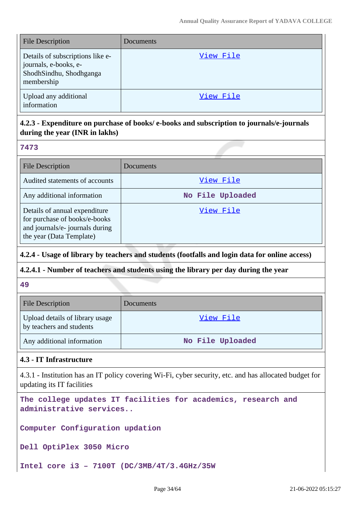| <b>File Description</b>                                                                            | Documents |
|----------------------------------------------------------------------------------------------------|-----------|
| Details of subscriptions like e-<br>journals, e-books, e-<br>ShodhSindhu, Shodhganga<br>membership | View File |
| Upload any additional<br>information                                                               | View File |

# **4.2.3 - Expenditure on purchase of books/ e-books and subscription to journals/e-journals during the year (INR in lakhs)**

### **7473**

| <b>File Description</b>                                                                                                       | Documents        |
|-------------------------------------------------------------------------------------------------------------------------------|------------------|
| Audited statements of accounts                                                                                                | View File        |
| Any additional information                                                                                                    | No File Uploaded |
| Details of annual expenditure<br>for purchase of books/e-books<br>and journals/e- journals during<br>the year (Data Template) | <u>View File</u> |

### **4.2.4 - Usage of library by teachers and students (footfalls and login data for online access)**

### **4.2.4.1 - Number of teachers and students using the library per day during the year**

### **49**

| <b>File Description</b>                                     | Documents        |
|-------------------------------------------------------------|------------------|
| Upload details of library usage<br>by teachers and students | View File        |
| Any additional information                                  | No File Uploaded |

### **4.3 - IT Infrastructure**

4.3.1 - Institution has an IT policy covering Wi-Fi, cyber security, etc. and has allocated budget for updating its IT facilities

**The college updates IT facilities for academics, research and administrative services..**

**Computer Configuration updation**

**Dell OptiPlex 3050 Micro**

**Intel core i3 – 7100T (DC/3MB/4T/3.4GHz/35W**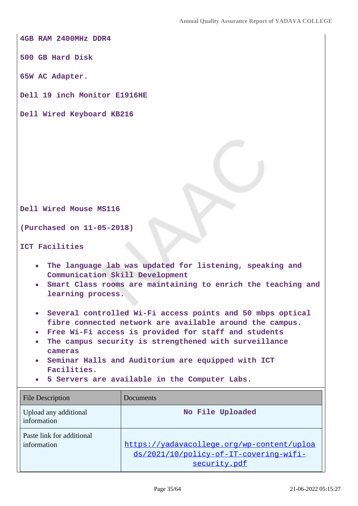**4GB RAM 2400MHz DDR4**

**500 GB Hard Disk**

**65W AC Adapter.**

**Dell 19 inch Monitor E1916HE**

**Dell Wired Keyboard KB216**

**Dell Wired Mouse MS116**

**(Purchased on 11-05-2018)**

**ICT Facilities**

- **The language lab was updated for listening, speaking and**  $\bullet$ **Communication Skill Development**
- **Smart Class rooms are maintaining to enrich the teaching and learning process.**
- **Several controlled Wi-Fi access points and 50 mbps optical fibre connected network are available around the campus.**
- **Free Wi-Fi access is provided for staff and students**
- **The campus security is strengthened with surveillance**  $\bullet$ **cameras**
- **Seminar Halls and Auditorium are equipped with ICT Facilities.**
- **5 Servers are available in the Computer Labs.**

| <b>File Description</b>                  | Documents                                                                                            |
|------------------------------------------|------------------------------------------------------------------------------------------------------|
| Upload any additional<br>information     | No File Uploaded                                                                                     |
| Paste link for additional<br>information | https://yadavacollege.org/wp-content/uploa<br>ds/2021/10/policy-of-IT-covering-wifi-<br>security.pdf |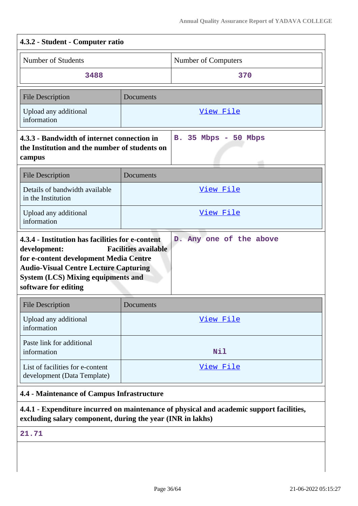| 4.3.2 - Student - Computer ratio                                                                                                                                                                                                                                                          |           |                      |
|-------------------------------------------------------------------------------------------------------------------------------------------------------------------------------------------------------------------------------------------------------------------------------------------|-----------|----------------------|
| Number of Students                                                                                                                                                                                                                                                                        |           | Number of Computers  |
| 3488                                                                                                                                                                                                                                                                                      |           | 370                  |
| <b>File Description</b>                                                                                                                                                                                                                                                                   | Documents |                      |
| Upload any additional<br>information                                                                                                                                                                                                                                                      |           | <u>View File</u>     |
| 4.3.3 - Bandwidth of internet connection in<br>the Institution and the number of students on<br>campus                                                                                                                                                                                    |           | B. 35 Mbps - 50 Mbps |
| <b>File Description</b>                                                                                                                                                                                                                                                                   | Documents |                      |
| Details of bandwidth available<br>in the Institution                                                                                                                                                                                                                                      |           | View File            |
| Upload any additional<br>information                                                                                                                                                                                                                                                      |           | View File            |
| 4.3.4 - Institution has facilities for e-content<br>D. Any one of the above<br><b>Facilities available</b><br>development:<br>for e-content development Media Centre<br><b>Audio-Visual Centre Lecture Capturing</b><br><b>System (LCS) Mixing equipments and</b><br>software for editing |           |                      |
| <b>File Description</b>                                                                                                                                                                                                                                                                   | Documents |                      |
| Upload any additional<br>information                                                                                                                                                                                                                                                      |           | View File            |
| Paste link for additional<br>information                                                                                                                                                                                                                                                  |           | Nil                  |
| List of facilities for e-content<br>development (Data Template)                                                                                                                                                                                                                           |           | View File            |
| 4.4 - Maintenance of Campus Infrastructure                                                                                                                                                                                                                                                |           |                      |
|                                                                                                                                                                                                                                                                                           |           |                      |

**4.4.1 - Expenditure incurred on maintenance of physical and academic support facilities, excluding salary component, during the year (INR in lakhs)**

**21.71**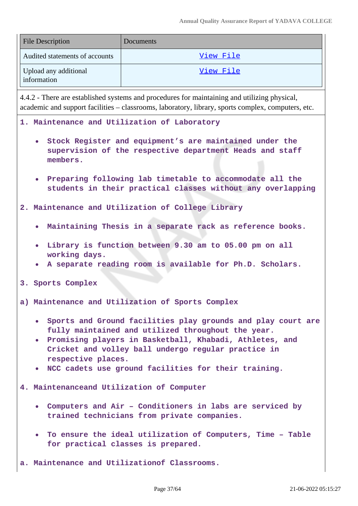| <b>File Description</b>              | Documents |
|--------------------------------------|-----------|
| Audited statements of accounts       | View File |
| Upload any additional<br>information | View File |

4.4.2 - There are established systems and procedures for maintaining and utilizing physical, academic and support facilities – classrooms, laboratory, library, sports complex, computers, etc.

**1. Maintenance and Utilization of Laboratory**

- **Stock Register and equipment's are maintained under the supervision of the respective department Heads and staff members.**
- **Preparing following lab timetable to accommodate all the students in their practical classes without any overlapping**

**2. Maintenance and Utilization of College Library**

- **Maintaining Thesis in a separate rack as reference books.**
- **Library is function between 9.30 am to 05.00 pm on all working days.**
- **A separate reading room is available for Ph.D. Scholars.**

**3. Sports Complex**

**a) Maintenance and Utilization of Sports Complex**

- **Sports and Ground facilities play grounds and play court are fully maintained and utilized throughout the year.**
- **Promising players in Basketball, Khabadi, Athletes, and Cricket and volley ball undergo regular practice in respective places.**
- **NCC cadets use ground facilities for their training.**

**4. Maintenanceand Utilization of Computer**

- **Computers and Air Conditioners in labs are serviced by trained technicians from private companies.**
- **To ensure the ideal utilization of Computers, Time Table for practical classes is prepared.**

**a. Maintenance and Utilizationof Classrooms.**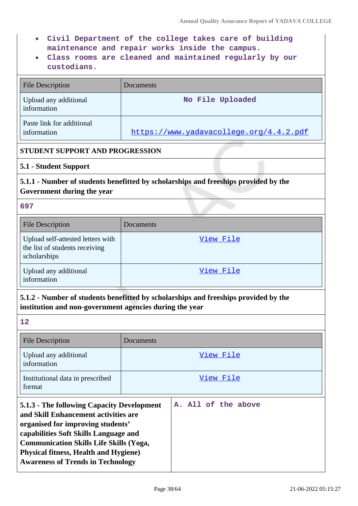- **Civil Department of the college takes care of building maintenance and repair works inside the campus.**
- **Class rooms are cleaned and maintained regularly by our custodians.**

| <b>File Description</b>                  | Documents                               |
|------------------------------------------|-----------------------------------------|
| Upload any additional<br>information     | No File Uploaded                        |
| Paste link for additional<br>information | https://www.yadavacollege.org/4.4.2.pdf |

### **STUDENT SUPPORT AND PROGRESSION**

### **5.1 - Student Support**

# **5.1.1 - Number of students benefitted by scholarships and freeships provided by the Government during the year**

#### **697**

| <b>File Description</b>                                                             | Documents |
|-------------------------------------------------------------------------------------|-----------|
| Upload self-attested letters with<br>the list of students receiving<br>scholarships | View File |
| Upload any additional<br>information                                                | View File |

### **5.1.2 - Number of students benefitted by scholarships and freeships provided by the institution and non-government agencies during the year**

| 12                                                                                                                                                                                                                                                                                                             |           |                     |
|----------------------------------------------------------------------------------------------------------------------------------------------------------------------------------------------------------------------------------------------------------------------------------------------------------------|-----------|---------------------|
| <b>File Description</b>                                                                                                                                                                                                                                                                                        | Documents |                     |
| Upload any additional<br>information                                                                                                                                                                                                                                                                           |           | View File           |
| Institutional data in prescribed<br>format                                                                                                                                                                                                                                                                     |           | View File           |
| 5.1.3 - The following Capacity Development<br>and Skill Enhancement activities are<br>organised for improving students'<br>capabilities Soft Skills Language and<br><b>Communication Skills Life Skills (Yoga,</b><br><b>Physical fitness, Health and Hygiene)</b><br><b>Awareness of Trends in Technology</b> |           | A. All of the above |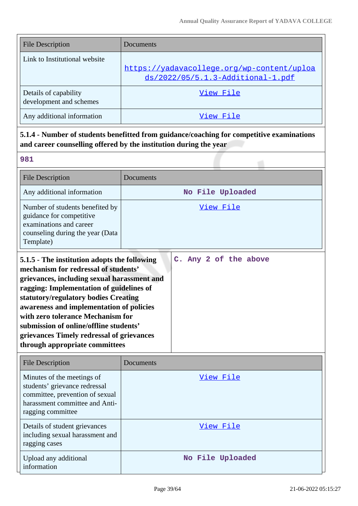| <b>File Description</b>       | Documents                                                                       |
|-------------------------------|---------------------------------------------------------------------------------|
| Link to Institutional website |                                                                                 |
|                               | https://yadavacollege.org/wp-content/uploa<br>ds/2022/05/5.1.3-Additional-1.pdf |
| Details of capability         | View File                                                                       |
| development and schemes       |                                                                                 |
| Any additional information    | View File                                                                       |

# **5.1.4 - Number of students benefitted from guidance/coaching for competitive examinations and career counselling offered by the institution during the year**

| <b>File Description</b>                                                                                                                                                                                                                                                                                                                                                                                                           | Documents             |
|-----------------------------------------------------------------------------------------------------------------------------------------------------------------------------------------------------------------------------------------------------------------------------------------------------------------------------------------------------------------------------------------------------------------------------------|-----------------------|
| Any additional information                                                                                                                                                                                                                                                                                                                                                                                                        | No File Uploaded      |
| Number of students benefited by<br>guidance for competitive<br>examinations and career<br>counseling during the year (Data<br>Template)                                                                                                                                                                                                                                                                                           | <u>View File</u>      |
| 5.1.5 - The institution adopts the following<br>mechanism for redressal of students'<br>grievances, including sexual harassment and<br>ragging: Implementation of guidelines of<br>statutory/regulatory bodies Creating<br>awareness and implementation of policies<br>with zero tolerance Mechanism for<br>submission of online/offline students'<br>grievances Timely redressal of grievances<br>through appropriate committees | C. Any 2 of the above |

| <b>File Description</b>                                                                                                                               | Documents        |
|-------------------------------------------------------------------------------------------------------------------------------------------------------|------------------|
| Minutes of the meetings of<br>students' grievance redressal<br>committee, prevention of sexual<br>harassment committee and Anti-<br>ragging committee | View File        |
| Details of student grievances<br>including sexual harassment and<br>ragging cases                                                                     | View File        |
| Upload any additional<br>information                                                                                                                  | No File Uploaded |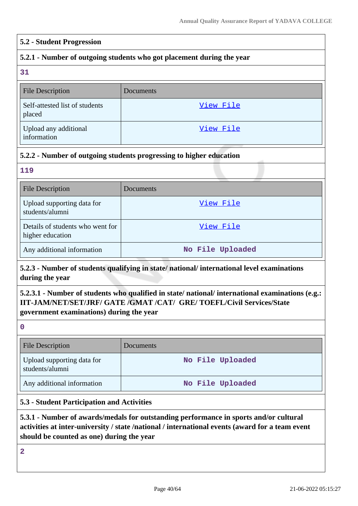#### **5.2 - Student Progression**

### **5.2.1 - Number of outgoing students who got placement during the year**

**31**

| <b>File Description</b>                  | Documents |
|------------------------------------------|-----------|
| Self-attested list of students<br>placed | View File |
| Upload any additional<br>information     | View File |

### **5.2.2 - Number of outgoing students progressing to higher education**

**119**

| <b>File Description</b>                              | Documents        |
|------------------------------------------------------|------------------|
| Upload supporting data for<br>students/alumni        | View File        |
| Details of students who went for<br>higher education | View File        |
| Any additional information                           | No File Uploaded |

### **5.2.3 - Number of students qualifying in state/ national/ international level examinations during the year**

# **5.2.3.1 - Number of students who qualified in state/ national/ international examinations (e.g.: IIT-JAM/NET/SET/JRF/ GATE /GMAT /CAT/ GRE/ TOEFL/Civil Services/State government examinations) during the year**

**0**

| <b>File Description</b>                       | <b>Documents</b> |
|-----------------------------------------------|------------------|
| Upload supporting data for<br>students/alumni | No File Uploaded |
| Any additional information                    | No File Uploaded |

#### **5.3 - Student Participation and Activities**

**5.3.1 - Number of awards/medals for outstanding performance in sports and/or cultural activities at inter-university / state /national / international events (award for a team event should be counted as one) during the year**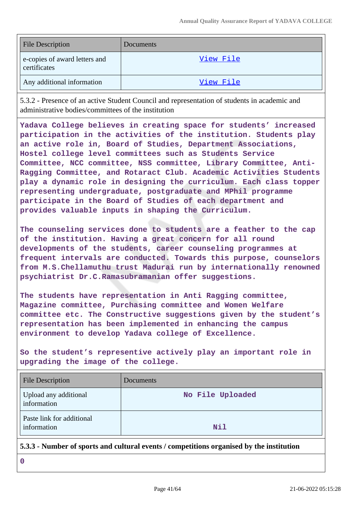| <b>File Description</b>                       | Documents |
|-----------------------------------------------|-----------|
| e-copies of award letters and<br>certificates | View File |
| Any additional information                    | View File |

5.3.2 - Presence of an active Student Council and representation of students in academic and administrative bodies/committees of the institution

**Yadava College believes in creating space for students' increased participation in the activities of the institution. Students play an active role in, Board of Studies, Department Associations, Hostel college level committees such as Students Service Committee, NCC committee, NSS committee, Library Committee, Anti-Ragging Committee, and Rotaract Club. Academic Activities Students play a dynamic role in designing the curriculum. Each class topper representing undergraduate, postgraduate and MPhil programme participate in the Board of Studies of each department and provides valuable inputs in shaping the Curriculum.**

**The counseling services done to students are a feather to the cap of the institution. Having a great concern for all round developments of the students, career counseling programmes at frequent intervals are conducted. Towards this purpose, counselors from M.S.Chellamuthu trust Madurai run by internationally renowned psychiatrist Dr.C.Ramasubramanian offer suggestions.**

**The students have representation in Anti Ragging committee, Magazine committee, Purchasing committee and Women Welfare committee etc. The Constructive suggestions given by the student's representation has been implemented in enhancing the campus environment to develop Yadava college of Excellence.**

**So the student's representive actively play an important role in upgrading the image of the college.**

| Upload any additional<br>information     | No File Uploaded |
|------------------------------------------|------------------|
| Paste link for additional<br>information | <b>Nil</b>       |

**5.3.3 - Number of sports and cultural events / competitions organised by the institution**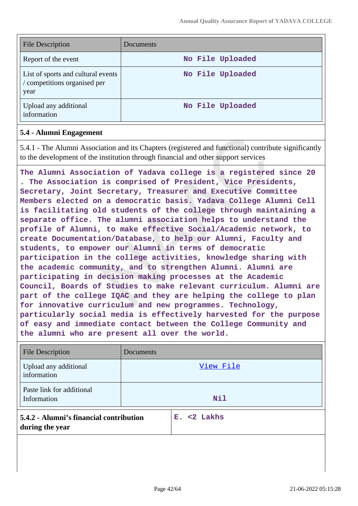| <b>File Description</b>                                                    | Documents        |
|----------------------------------------------------------------------------|------------------|
| Report of the event                                                        | No File Uploaded |
| List of sports and cultural events<br>/ competitions organised per<br>year | No File Uploaded |
| Upload any additional<br>information                                       | No File Uploaded |

#### **5.4 - Alumni Engagement**

5.4.1 - The Alumni Association and its Chapters (registered and functional) contribute significantly to the development of the institution through financial and other support services

**The Alumni Association of Yadava college is a registered since 20 . The Association is comprised of President, Vice Presidents, Secretary, Joint Secretary, Treasurer and Executive Committee Members elected on a democratic basis. Yadava College Alumni Cell is facilitating old students of the college through maintaining a separate office. The alumni association helps to understand the profile of Alumni, to make effective Social/Academic network, to create Documentation/Database, to help our Alumni, Faculty and students, to empower our Alumni in terms of democratic participation in the college activities, knowledge sharing with the academic community, and to strengthen Alumni. Alumni are participating in decision making processes at the Academic Council, Boards of Studies to make relevant curriculum. Alumni are part of the college IQAC and they are helping the college to plan for innovative curriculum and new programmes. Technology, particularly social media is effectively harvested for the purpose of easy and immediate contact between the College Community and the alumni who are present all over the world.**

| <b>File Description</b>                                    | Documents |                |
|------------------------------------------------------------|-----------|----------------|
| Upload any additional<br>information                       |           | View File      |
| Paste link for additional<br>Information                   |           | <b>Nil</b>     |
| 5.4.2 - Alumni's financial contribution<br>during the year |           | $E. < 2$ Lakhs |
|                                                            |           |                |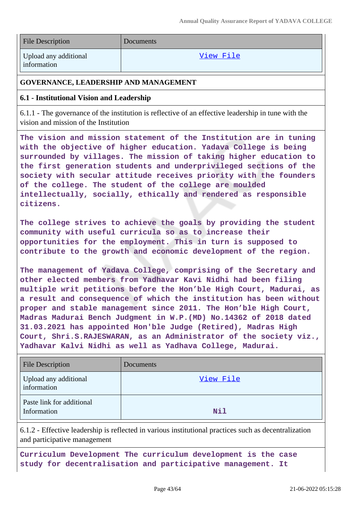| <b>File Description</b>                                                                                                                                                                                                                                                                                                                                                                                                                                                          | Documents |  |
|----------------------------------------------------------------------------------------------------------------------------------------------------------------------------------------------------------------------------------------------------------------------------------------------------------------------------------------------------------------------------------------------------------------------------------------------------------------------------------|-----------|--|
| Upload any additional<br>information                                                                                                                                                                                                                                                                                                                                                                                                                                             | View File |  |
| <b>GOVERNANCE, LEADERSHIP AND MANAGEMENT</b>                                                                                                                                                                                                                                                                                                                                                                                                                                     |           |  |
| 6.1 - Institutional Vision and Leadership                                                                                                                                                                                                                                                                                                                                                                                                                                        |           |  |
| 6.1.1 - The governance of the institution is reflective of an effective leadership in tune with the<br>vision and mission of the Institution                                                                                                                                                                                                                                                                                                                                     |           |  |
| The vision and mission statement of the Institution are in tuning<br>with the objective of higher education. Yadava College is being<br>surrounded by villages. The mission of taking higher education to<br>the first generation students and underprivileged sections of the<br>society with secular attitude receives priority with the founders<br>of the college. The student of the college are moulded<br>intellectually, socially, ethically and rendered as responsible |           |  |

**citizens.**

**The college strives to achieve the goals by providing the student community with useful curricula so as to increase their opportunities for the employment. This in turn is supposed to contribute to the growth and economic development of the region.**

**The management of Yadava College, comprising of the Secretary and other elected members from Yadhavar Kavi Nidhi had been filing multiple writ petitions before the Hon'ble High Court, Madurai, as a result and consequence of which the institution has been without proper and stable management since 2011. The Hon'ble High Court, Madras Madurai Bench Judgment in W.P.(MD) No.14362 of 2018 dated 31.03.2021 has appointed Hon'ble Judge (Retired), Madras High Court, Shri.S.RAJESWARAN, as an Administrator of the society viz., Yadhavar Kalvi Nidhi as well as Yadhava College, Madurai.**

| <b>File Description</b>                  | Documents  |
|------------------------------------------|------------|
| Upload any additional<br>information     | View File  |
| Paste link for additional<br>Information | <b>Nil</b> |

6.1.2 - Effective leadership is reflected in various institutional practices such as decentralization and participative management

**Curriculum Development The curriculum development is the case study for decentralisation and participative management. It**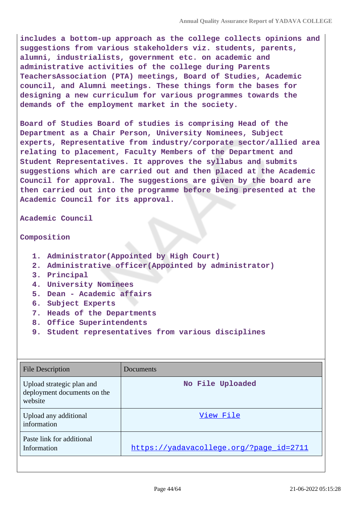**includes a bottom-up approach as the college collects opinions and suggestions from various stakeholders viz. students, parents, alumni, industrialists, government etc. on academic and administrative activities of the college during Parents TeachersAssociation (PTA) meetings, Board of Studies, Academic council, and Alumni meetings. These things form the bases for designing a new curriculum for various programmes towards the demands of the employment market in the society.**

**Board of Studies Board of studies is comprising Head of the Department as a Chair Person, University Nominees, Subject experts, Representative from industry/corporate sector/allied area relating to placement, Faculty Members of the Department and Student Representatives. It approves the syllabus and submits suggestions which are carried out and then placed at the Academic Council for approval. The suggestions are given by the board are then carried out into the programme before being presented at the Academic Council for its approval.**

**Academic Council**

#### **Composition**

- **1. Administrator(Appointed by High Court)**
- **2. Administrative officer(Appointed by administrator)**
- **3. Principal**
- **4. University Nominees**
- **5. Dean Academic affairs**
- **6. Subject Experts**
- **7. Heads of the Departments**
- **8. Office Superintendents**
- **9. Student representatives from various disciplines**

| File Description                                                    | Documents                               |
|---------------------------------------------------------------------|-----------------------------------------|
| Upload strategic plan and<br>deployment documents on the<br>website | No File Uploaded                        |
| Upload any additional<br>information                                | View File                               |
| Paste link for additional<br>Information                            | https://yadavacollege.org/?page_id=2711 |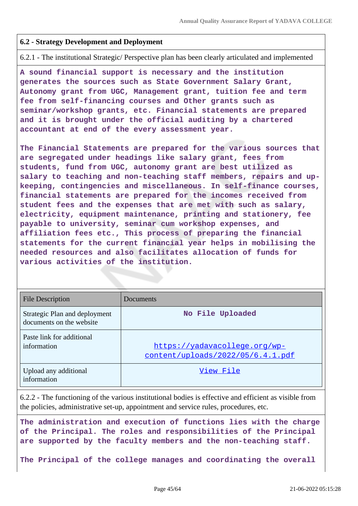### **6.2 - Strategy Development and Deployment**

6.2.1 - The institutional Strategic/ Perspective plan has been clearly articulated and implemented

**A sound financial support is necessary and the institution generates the sources such as State Government Salary Grant, Autonomy grant from UGC, Management grant, tuition fee and term fee from self-financing courses and Other grants such as seminar/workshop grants, etc. Financial statements are prepared and it is brought under the official auditing by a chartered accountant at end of the every assessment year.**

**The Financial Statements are prepared for the various sources that are segregated under headings like salary grant, fees from students, fund from UGC, autonomy grant are best utilized as salary to teaching and non-teaching staff members, repairs and upkeeping, contingencies and miscellaneous. In self-finance courses, financial statements are prepared for the incomes received from student fees and the expenses that are met with such as salary, electricity, equipment maintenance, printing and stationery, fee payable to university, seminar cum workshop expenses, and affiliation fees etc., This process of preparing the financial statements for the current financial year helps in mobilising the needed resources and also facilitates allocation of funds for various activities of the institution.**

| <b>File Description</b>                                   | Documents                                                          |
|-----------------------------------------------------------|--------------------------------------------------------------------|
| Strategic Plan and deployment<br>documents on the website | No File Uploaded                                                   |
| Paste link for additional<br>information                  | https://yadavacollege.org/wp-<br>content/uploads/2022/05/6.4.1.pdf |
| Upload any additional<br>information                      | View File                                                          |

6.2.2 - The functioning of the various institutional bodies is effective and efficient as visible from the policies, administrative set-up, appointment and service rules, procedures, etc.

**The administration and execution of functions lies with the charge of the Principal. The roles and responsibilities of the Principal are supported by the faculty members and the non-teaching staff.**

**The Principal of the college manages and coordinating the overall**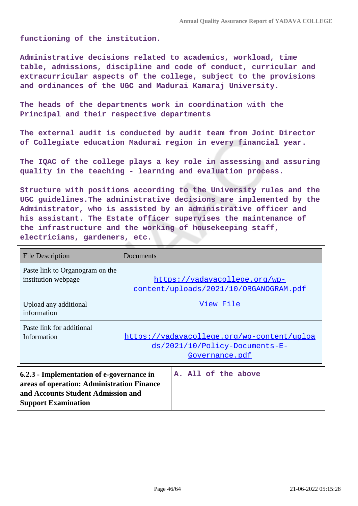**functioning of the institution.**

**Administrative decisions related to academics, workload, time table, admissions, discipline and code of conduct, curricular and extracurricular aspects of the college, subject to the provisions and ordinances of the UGC and Madurai Kamaraj University.**

**The heads of the departments work in coordination with the Principal and their respective departments**

**The external audit is conducted by audit team from Joint Director of Collegiate education Madurai region in every financial year.**

**The IQAC of the college plays a key role in assessing and assuring quality in the teaching - learning and evaluation process.**

**Structure with positions according to the University rules and the UGC guidelines.The administrative decisions are implemented by the Administrator, who is assisted by an administrative officer and his assistant. The Estate officer supervises the maintenance of the infrastructure and the working of housekeeping staff, electricians, gardeners, etc.**

| <b>File Description</b>                                | Documents                                                                                      |
|--------------------------------------------------------|------------------------------------------------------------------------------------------------|
| Paste link to Organogram on the<br>institution webpage | https://yadavacollege.org/wp-<br>content/uploads/2021/10/ORGANOGRAM.pdf                        |
| Upload any additional<br>information                   | View File                                                                                      |
| Paste link for additional<br>Information               | https://yadavacollege.org/wp-content/uploa<br>ds/2021/10/Policy-Documents-E-<br>Governance.pdf |

**6.2.3 - Implementation of e-governance in areas of operation: Administration Finance and Accounts Student Admission and Support Examination A. All of the above**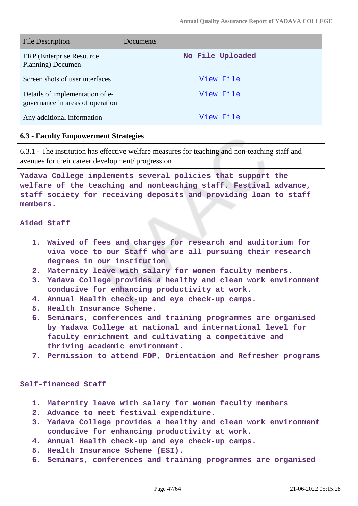| <b>File Description</b>                                             | Documents        |
|---------------------------------------------------------------------|------------------|
| <b>ERP</b> (Enterprise Resource)<br>Planning) Documen               | No File Uploaded |
| Screen shots of user interfaces                                     | View File        |
| Details of implementation of e-<br>governance in areas of operation | View File        |
| Any additional information                                          | View File        |

### **6.3 - Faculty Empowerment Strategies**

6.3.1 - The institution has effective welfare measures for teaching and non-teaching staff and avenues for their career development/ progression

**Yadava College implements several policies that support the welfare of the teaching and nonteaching staff. Festival advance, staff society for receiving deposits and providing loan to staff members.**

#### **Aided Staff**

- **1. Waived of fees and charges for research and auditorium for viva voce to our Staff who are all pursuing their research degrees in our institution**
- **2. Maternity leave with salary for women faculty members.**
- **3. Yadava College provides a healthy and clean work environment conducive for enhancing productivity at work.**
- **4. Annual Health check-up and eye check-up camps.**
- **5. Health Insurance Scheme.**
- **6. Seminars, conferences and training programmes are organised by Yadava College at national and international level for faculty enrichment and cultivating a competitive and thriving academic environment.**
- **7. Permission to attend FDP, Orientation and Refresher programs**

#### **Self-financed Staff**

- **1. Maternity leave with salary for women faculty members**
- **2. Advance to meet festival expenditure.**
- **3. Yadava College provides a healthy and clean work environment conducive for enhancing productivity at work.**
- **4. Annual Health check-up and eye check-up camps.**
- **5. Health Insurance Scheme (ESI).**
- **6. Seminars, conferences and training programmes are organised**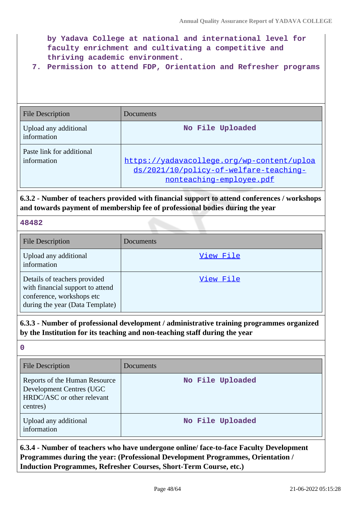**by Yadava College at national and international level for faculty enrichment and cultivating a competitive and thriving academic environment.**

**7. Permission to attend FDP, Orientation and Refresher programs**

| <b>File Description</b>                  | Documents                                                                                                        |
|------------------------------------------|------------------------------------------------------------------------------------------------------------------|
| Upload any additional<br>information     | No File Uploaded                                                                                                 |
| Paste link for additional<br>information | https://yadavacollege.org/wp-content/uploa<br>ds/2021/10/policy-of-welfare-teaching-<br>nonteaching-employee.pdf |

**6.3.2 - Number of teachers provided with financial support to attend conferences / workshops and towards payment of membership fee of professional bodies during the year**

### **48482**

| <b>File Description</b>                                                                                                          | Documents |
|----------------------------------------------------------------------------------------------------------------------------------|-----------|
| Upload any additional<br>information                                                                                             | View File |
| Details of teachers provided<br>with financial support to attend<br>conference, workshops etc<br>during the year (Data Template) | View File |

**6.3.3 - Number of professional development / administrative training programmes organized by the Institution for its teaching and non-teaching staff during the year**

**0**

| <b>File Description</b>                                                                             | Documents        |
|-----------------------------------------------------------------------------------------------------|------------------|
| Reports of the Human Resource<br>Development Centres (UGC<br>HRDC/ASC or other relevant<br>centres) | No File Uploaded |
| Upload any additional<br>information                                                                | No File Uploaded |

**6.3.4 - Number of teachers who have undergone online/ face-to-face Faculty Development Programmes during the year: (Professional Development Programmes, Orientation / Induction Programmes, Refresher Courses, Short-Term Course, etc.)**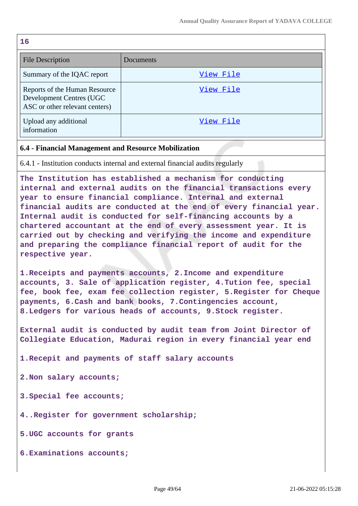**16**

| --                                                                                          |           |
|---------------------------------------------------------------------------------------------|-----------|
| <b>File Description</b>                                                                     | Documents |
| Summary of the IQAC report                                                                  | View File |
| Reports of the Human Resource<br>Development Centres (UGC<br>ASC or other relevant centers) | View File |
| Upload any additional<br>information                                                        | View File |

### **6.4 - Financial Management and Resource Mobilization**

6.4.1 - Institution conducts internal and external financial audits regularly

**The Institution has established a mechanism for conducting internal and external audits on the financial transactions every year to ensure financial compliance. Internal and external financial audits are conducted at the end of every financial year. Internal audit is conducted for self-financing accounts by a chartered accountant at the end of every assessment year. It is carried out by checking and verifying the income and expenditure and preparing the compliance financial report of audit for the respective year.**

**1.Receipts and payments accounts, 2.Income and expenditure accounts, 3. Sale of application register, 4.Tution fee, special fee, book fee, exam fee collection register, 5.Register for Cheque payments, 6.Cash and bank books, 7.Contingencies account, 8.Ledgers for various heads of accounts, 9.Stock register.**

**External audit is conducted by audit team from Joint Director of Collegiate Education, Madurai region in every financial year end**

**1.Recepit and payments of staff salary accounts**

**2.Non salary accounts;**

**3.Special fee accounts;**

**4..Register for government scholarship;**

**5.UGC accounts for grants**

**6.Examinations accounts;**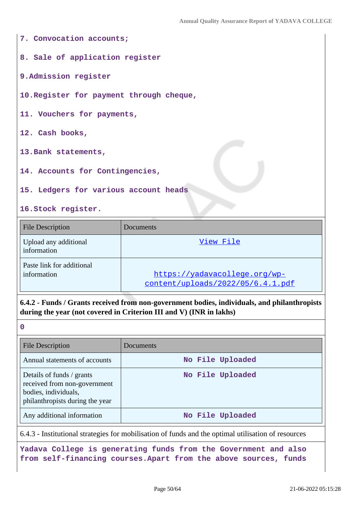| 7. Convocation accounts;                 |
|------------------------------------------|
| 8. Sale of application register          |
| 9. Admission register                    |
| 10. Register for payment through cheque, |
| 11. Vouchers for payments,               |
| 12. Cash books,                          |
| 13. Bank statements,                     |
| 14. Accounts for Contingencies,          |
| 15. Ledgers for various account heads    |
| 16. Stock register.                      |

| <b>File Description</b>                  | Documents                                                          |
|------------------------------------------|--------------------------------------------------------------------|
| Upload any additional<br>information     | View File                                                          |
| Paste link for additional<br>information | https://yadavacollege.org/wp-<br>content/uploads/2022/05/6.4.1.pdf |

**6.4.2 - Funds / Grants received from non-government bodies, individuals, and philanthropists during the year (not covered in Criterion III and V) (INR in lakhs)**

**0**

| <b>File Description</b>                                                                                              | Documents        |
|----------------------------------------------------------------------------------------------------------------------|------------------|
| Annual statements of accounts                                                                                        | No File Uploaded |
| Details of funds / grants<br>received from non-government<br>bodies, individuals,<br>philanthropists during the year | No File Uploaded |
| Any additional information                                                                                           | No File Uploaded |

6.4.3 - Institutional strategies for mobilisation of funds and the optimal utilisation of resources

**Yadava College is generating funds from the Government and also from self-financing courses.Apart from the above sources, funds**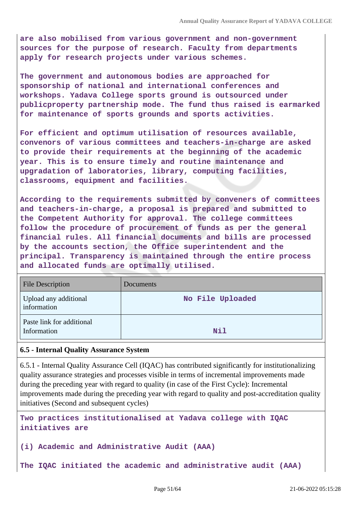**are also mobilised from various government and non-government sources for the purpose of research. Faculty from departments apply for research projects under various schemes.**

**The government and autonomous bodies are approached for sponsorship of national and international conferences and workshops. Yadava College sports ground is outsourced under publicproperty partnership mode. The fund thus raised is earmarked for maintenance of sports grounds and sports activities.**

**For efficient and optimum utilisation of resources available, convenors of various committees and teachers-in-charge are asked to provide their requirements at the beginning of the academic year. This is to ensure timely and routine maintenance and upgradation of laboratories, library, computing facilities, classrooms, equipment and facilities.**

**According to the requirements submitted by conveners of committees and teachers-in-charge, a proposal is prepared and submitted to the Competent Authority for approval. The college committees follow the procedure of procurement of funds as per the general financial rules. All financial documents and bills are processed by the accounts section, the Office superintendent and the principal. Transparency is maintained through the entire process and allocated funds are optimally utilised.**

| <b>File Description</b>                  | Documents        |
|------------------------------------------|------------------|
| Upload any additional<br>information     | No File Uploaded |
| Paste link for additional<br>Information | <b>Nil</b>       |

### **6.5 - Internal Quality Assurance System**

6.5.1 - Internal Quality Assurance Cell (IQAC) has contributed significantly for institutionalizing quality assurance strategies and processes visible in terms of incremental improvements made during the preceding year with regard to quality (in case of the First Cycle): Incremental improvements made during the preceding year with regard to quality and post-accreditation quality initiatives (Second and subsequent cycles)

**Two practices institutionalised at Yadava college with IQAC initiatives are**

**(i) Academic and Administrative Audit (AAA)**

**The IQAC initiated the academic and administrative audit (AAA)**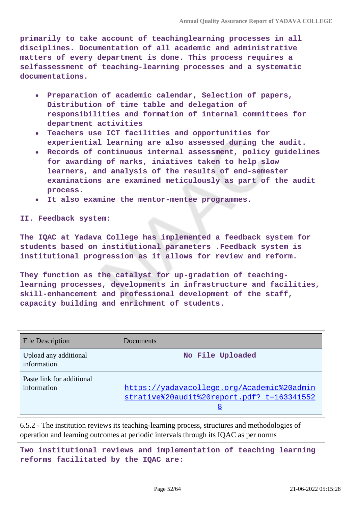**primarily to take account of teachinglearning processes in all disciplines. Documentation of all academic and administrative matters of every department is done. This process requires a selfassessment of teaching-learning processes and a systematic documentations.**

- **Preparation of academic calendar, Selection of papers, Distribution of time table and delegation of responsibilities and formation of internal committees for department activities**
- **Teachers use ICT facilities and opportunities for experiential learning are also assessed during the audit.**
- **Records of continuous internal assessment, policy guidelines for awarding of marks, iniatives taken to help slow learners, and analysis of the results of end-semester examinations are examined meticulously as part of the audit process.**
- **It also examine the mentor-mentee programmes.**

**II. Feedback system:** 

**The IQAC at Yadava College has implemented a feedback system for students based on institutional parameters .Feedback system is institutional progression as it allows for review and reform.**

**They function as the catalyst for up-gradation of teachinglearning processes, developments in infrastructure and facilities, skill-enhancement and professional development of the staff, capacity building and enrichment of students.**

| <b>File Description</b>                  | Documents                                                                                     |
|------------------------------------------|-----------------------------------------------------------------------------------------------|
| Upload any additional<br>information     | No File Uploaded                                                                              |
| Paste link for additional<br>information | https://yadavacollege.org/Academic%20admin<br>strative%20audit%20report.pdf? t=163341552<br>8 |

6.5.2 - The institution reviews its teaching-learning process, structures and methodologies of operation and learning outcomes at periodic intervals through its IQAC as per norms

**Two institutional reviews and implementation of teaching learning reforms facilitated by the IQAC are:**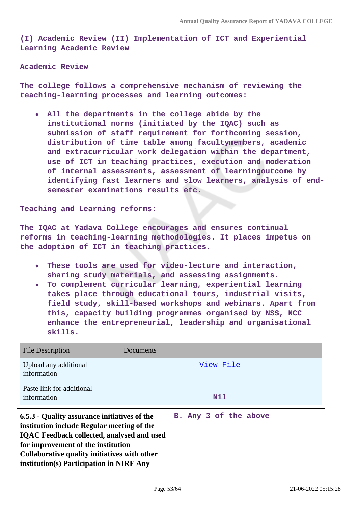**(I) Academic Review (II) Implementation of ICT and Experiential Learning Academic Review**

**Academic Review** 

**The college follows a comprehensive mechanism of reviewing the teaching-learning processes and learning outcomes:**

**All the departments in the college abide by the institutional norms (initiated by the IQAC) such as submission of staff requirement for forthcoming session, distribution of time table among facultymembers, academic and extracurricular work delegation within the department, use of ICT in teaching practices, execution and moderation of internal assessments, assessment of learningoutcome by identifying fast learners and slow learners, analysis of endsemester examinations results etc.**

**Teaching and Learning reforms:** 

**The IQAC at Yadava College encourages and ensures continual reforms in teaching-learning methodologies. It places impetus on the adoption of ICT in teaching practices.**

- **These tools are used for video-lecture and interaction, sharing study materials, and assessing assignments.**
- **To complement curricular learning, experiential learning takes place through educational tours, industrial visits, field study, skill-based workshops and webinars. Apart from this, capacity building programmes organised by NSS, NCC enhance the entrepreneurial, leadership and organisational skills.**

| <b>File Description</b>                                                                                                                                                                                                                                                           | Documents |                       |
|-----------------------------------------------------------------------------------------------------------------------------------------------------------------------------------------------------------------------------------------------------------------------------------|-----------|-----------------------|
| Upload any additional<br>information                                                                                                                                                                                                                                              |           | View File             |
| Paste link for additional<br>information                                                                                                                                                                                                                                          |           | <b>Nil</b>            |
| 6.5.3 - Quality assurance initiatives of the<br>institution include Regular meeting of the<br><b>IQAC Feedback collected, analysed and used</b><br>for improvement of the institution<br>Collaborative quality initiatives with other<br>institution(s) Participation in NIRF Any |           | B. Any 3 of the above |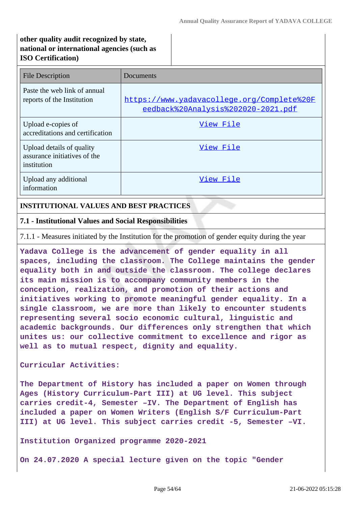# **other quality audit recognized by state, national or international agencies (such as ISO Certification)**

| <b>File Description</b>                                                  | Documents                                                                        |
|--------------------------------------------------------------------------|----------------------------------------------------------------------------------|
| Paste the web link of annual<br>reports of the Institution               | https://www.yadavacollege.org/Complete%20F<br>eedback%20Analysis%202020-2021.pdf |
| Upload e-copies of<br>accreditations and certification                   | View File                                                                        |
| Upload details of quality<br>assurance initiatives of the<br>institution | View File                                                                        |
| Upload any additional<br>information                                     | View File                                                                        |

### **INSTITUTIONAL VALUES AND BEST PRACTICES**

### **7.1 - Institutional Values and Social Responsibilities**

7.1.1 - Measures initiated by the Institution for the promotion of gender equity during the year

**Yadava College is the advancement of gender equality in all spaces, including the classroom. The College maintains the gender equality both in and outside the classroom. The college declares its main mission is to accompany community members in the conception, realization, and promotion of their actions and initiatives working to promote meaningful gender equality. In a single classroom, we are more than likely to encounter students representing several socio economic cultural, linguistic and academic backgrounds. Our differences only strengthen that which unites us: our collective commitment to excellence and rigor as well as to mutual respect, dignity and equality.**

**Curricular Activities:**

**The Department of History has included a paper on Women through Ages (History Curriculum-Part III) at UG level. This subject carries credit-4, Semester –IV. The Department of English has included a paper on Women Writers (English S/F Curriculum-Part III) at UG level. This subject carries credit -5, Semester –VI.**

**Institution Organized programme 2020-2021**

**On 24.07.2020 A special lecture given on the topic "Gender**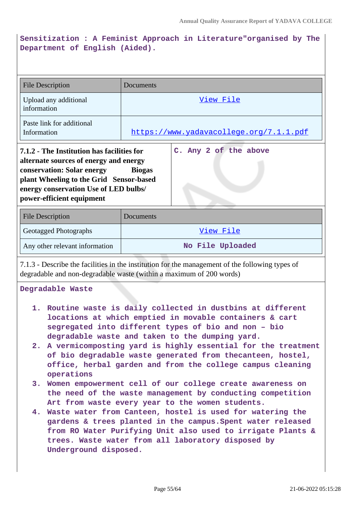# **Sensitization : A Feminist Approach in Literature"organised by The Department of English (Aided).**

| <b>File Description</b>                                                                                                                                                                                                             | Documents                                                                                                                                                                       |  |  |
|-------------------------------------------------------------------------------------------------------------------------------------------------------------------------------------------------------------------------------------|---------------------------------------------------------------------------------------------------------------------------------------------------------------------------------|--|--|
| Upload any additional<br>information                                                                                                                                                                                                | View File                                                                                                                                                                       |  |  |
| Paste link for additional<br>Information                                                                                                                                                                                            | https://www.yadavacollege.org/7.1.1.pdf                                                                                                                                         |  |  |
| 7.1.2 - The Institution has facilities for<br>alternate sources of energy and energy<br>conservation: Solar energy<br>plant Wheeling to the Grid Sensor-based<br>energy conservation Use of LED bulbs/<br>power-efficient equipment | C. Any 2 of the above<br><b>Biogas</b>                                                                                                                                          |  |  |
| <b>File Description</b>                                                                                                                                                                                                             | Documents                                                                                                                                                                       |  |  |
| Geotagged Photographs                                                                                                                                                                                                               | View File                                                                                                                                                                       |  |  |
| Any other relevant information                                                                                                                                                                                                      | No File Uploaded                                                                                                                                                                |  |  |
| 7.1.3 - Describe the facilities in the institution for the management of the following types of<br>degradable and non-degradable waste (within a maximum of 200 words)                                                              |                                                                                                                                                                                 |  |  |
| Degradable Waste                                                                                                                                                                                                                    |                                                                                                                                                                                 |  |  |
| 1. Routine waste is daily collected in dustbins at different<br>locations at which emptied in movable containers & cart<br>segregated into different types of bio and non - bio<br>degradable waste and taken to the dumping yard.  |                                                                                                                                                                                 |  |  |
| 2. A vermicomposting yard is highly essential for the treatment<br>of bio degradable waste generated from thecanteen, hostel,<br>office, herbal garden and from the college campus cleaning<br>operations                           |                                                                                                                                                                                 |  |  |
|                                                                                                                                                                                                                                     | 3. Women empowerment cell of our college create awareness on<br>the need of the waste management by conducting competition                                                      |  |  |
|                                                                                                                                                                                                                                     | Art from waste every year to the women students.<br>4. Waste water from Canteen, hostel is used for watering the<br>gardens & trees planted in the campus. Spent water released |  |  |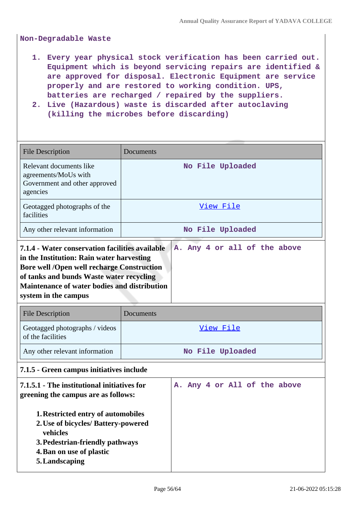**Non-Degradable Waste**

- **1. Every year physical stock verification has been carried out. Equipment which is beyond servicing repairs are identified & are approved for disposal. Electronic Equipment are service properly and are restored to working condition. UPS, batteries are recharged / repaired by the suppliers.**
- **2. Live (Hazardous) waste is discarded after autoclaving (killing the microbes before discarding)**

| <b>File Description</b>                                                                                                                                                                                                                                               | Documents                    |  |
|-----------------------------------------------------------------------------------------------------------------------------------------------------------------------------------------------------------------------------------------------------------------------|------------------------------|--|
| Relevant documents like<br>agreements/MoUs with<br>Government and other approved<br>agencies                                                                                                                                                                          | No File Uploaded             |  |
| Geotagged photographs of the<br>facilities                                                                                                                                                                                                                            | View File                    |  |
| Any other relevant information                                                                                                                                                                                                                                        | No File Uploaded             |  |
| 7.1.4 - Water conservation facilities available<br>in the Institution: Rain water harvesting<br><b>Bore well /Open well recharge Construction</b><br>of tanks and bunds Waste water recycling<br>Maintenance of water bodies and distribution<br>system in the campus | A. Any 4 or all of the above |  |
| <b>File Description</b>                                                                                                                                                                                                                                               | Documents                    |  |
| Geotagged photographs / videos<br>of the facilities                                                                                                                                                                                                                   | View File                    |  |
| Any other relevant information                                                                                                                                                                                                                                        | No File Uploaded             |  |
| 7.1.5 - Green campus initiatives include                                                                                                                                                                                                                              |                              |  |
| 7.1.5.1 - The institutional initiatives for<br>greening the campus are as follows:<br>1. Restricted entry of automobiles<br>2. Use of bicycles/ Battery-powered<br>vehicles<br>3. Pedestrian-friendly pathways<br>4. Ban on use of plastic<br>5. Landscaping          | A. Any 4 or All of the above |  |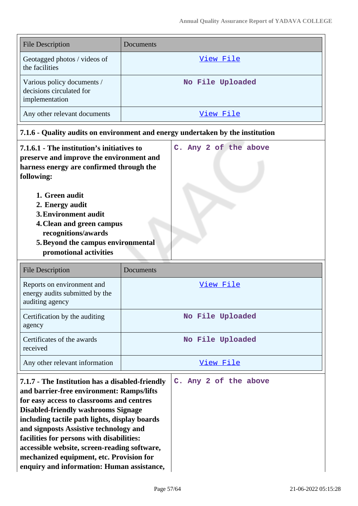| <b>File Description</b>                                                  | Documents        |
|--------------------------------------------------------------------------|------------------|
| Geotagged photos / videos of<br>the facilities                           | View File        |
| Various policy documents /<br>decisions circulated for<br>implementation | No File Uploaded |
| Any other relevant documents                                             | View File        |

| 7.1.6 - Quality audits on environment and energy undertaken by the institution                                                                                                                                                                                                                                                           |                       |
|------------------------------------------------------------------------------------------------------------------------------------------------------------------------------------------------------------------------------------------------------------------------------------------------------------------------------------------|-----------------------|
| 7.1.6.1 - The institution's initiatives to<br>preserve and improve the environment and<br>harness energy are confirmed through the<br>following:<br>1. Green audit<br>2. Energy audit<br><b>3. Environment audit</b><br>4. Clean and green campus<br>recognitions/awards<br>5. Beyond the campus environmental<br>promotional activities | C. Any 2 of the above |
| <b>File Description</b>                                                                                                                                                                                                                                                                                                                  | Documents             |
| Reports on environment and<br>energy audits submitted by the<br>auditing agency                                                                                                                                                                                                                                                          | View File             |
| Certification by the auditing<br>agency                                                                                                                                                                                                                                                                                                  | No File Uploaded      |
| Certificates of the awards<br>received                                                                                                                                                                                                                                                                                                   | No File Uploaded      |
| Any other relevant information                                                                                                                                                                                                                                                                                                           | View File             |
| 7.1.7 - The Institution has a disabled-friendly<br>and barrier-free environment: Ramps/lifts                                                                                                                                                                                                                                             | C. Any 2 of the above |

**and barrier-free environment: Ramps/lifts for easy access to classrooms and centres Disabled-friendly washrooms Signage including tactile path lights, display boards and signposts Assistive technology and facilities for persons with disabilities: accessible website, screen-reading software, mechanized equipment, etc. Provision for enquiry and information: Human assistance,**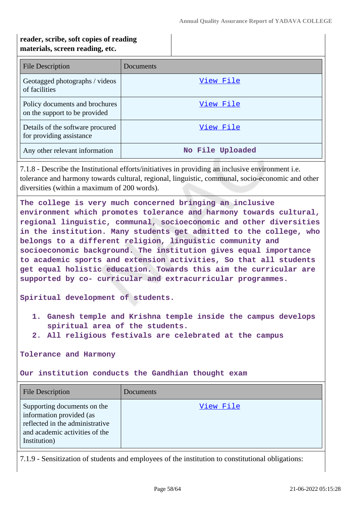# **reader, scribe, soft copies of reading materials, screen reading, etc.**

| <b>File Description</b>                                         | Documents        |
|-----------------------------------------------------------------|------------------|
| Geotagged photographs / videos<br>of facilities                 | View File        |
| Policy documents and brochures<br>on the support to be provided | View File        |
| Details of the software procured<br>for providing assistance    | View File        |
| Any other relevant information                                  | No File Uploaded |

7.1.8 - Describe the Institutional efforts/initiatives in providing an inclusive environment i.e. tolerance and harmony towards cultural, regional, linguistic, communal, socio-economic and other diversities (within a maximum of 200 words).

**The college is very much concerned bringing an inclusive environment which promotes tolerance and harmony towards cultural, regional linguistic, communal, socioeconomic and other diversities in the institution. Many students get admitted to the college, who belongs to a different religion, linguistic community and socioeconomic background. The institution gives equal importance to academic sports and extension activities, So that all students get equal holistic education. Towards this aim the curricular are supported by co- curricular and extracurricular programmes.**

**Spiritual development of students.**

- **1. Ganesh temple and Krishna temple inside the campus develops spiritual area of the students.**
- **2. All religious festivals are celebrated at the campus**

**Tolerance and Harmony**

**Our institution conducts the Gandhian thought exam**

| <b>File Description</b>                                                                                                                      | Documents |
|----------------------------------------------------------------------------------------------------------------------------------------------|-----------|
| Supporting documents on the<br>information provided (as<br>reflected in the administrative<br>and academic activities of the<br>Institution) | View File |

7.1.9 - Sensitization of students and employees of the institution to constitutional obligations: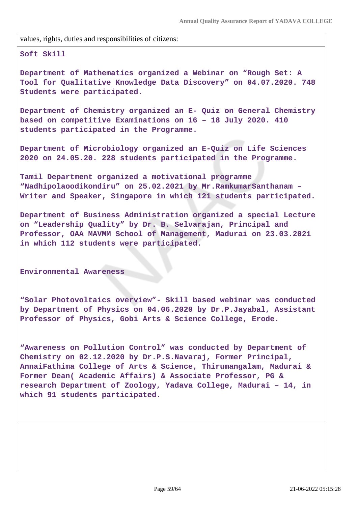values, rights, duties and responsibilities of citizens:

**Soft Skill**

**Department of Mathematics organized a Webinar on "Rough Set: A Tool for Qualitative Knowledge Data Discovery" on 04.07.2020. 748 Students were participated.**

**Department of Chemistry organized an E- Quiz on General Chemistry based on competitive Examinations on 16 – 18 July 2020. 410 students participated in the Programme.**

**Department of Microbiology organized an E-Quiz on Life Sciences 2020 on 24.05.20. 228 students participated in the Programme.**

**Tamil Department organized a motivational programme "Nadhipolaoodikondiru" on 25.02.2021 by Mr.RamkumarSanthanam – Writer and Speaker, Singapore in which 121 students participated.**

**Department of Business Administration organized a special Lecture on "Leadership Quality" by Dr. B. Selvarajan, Principal and Professor, OAA MAVMM School of Management, Madurai on 23.03.2021 in which 112 students were participated.**

**Environmental Awareness**

**"Solar Photovoltaics overview"- Skill based webinar was conducted by Department of Physics on 04.06.2020 by Dr.P.Jayabal, Assistant Professor of Physics, Gobi Arts & Science College, Erode.**

**"Awareness on Pollution Control" was conducted by Department of Chemistry on 02.12.2020 by Dr.P.S.Navaraj, Former Principal, AnnaiFathima College of Arts & Science, Thirumangalam, Madurai & Former Dean( Academic Affairs) & Associate Professor, PG & research Department of Zoology, Yadava College, Madurai – 14, in which 91 students participated.**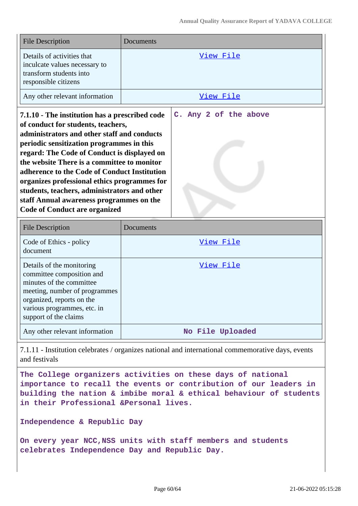| <b>File Description</b>                                                                                                                                                                                                                                                                                                                                                                                                                                                                                            | Documents |                       |
|--------------------------------------------------------------------------------------------------------------------------------------------------------------------------------------------------------------------------------------------------------------------------------------------------------------------------------------------------------------------------------------------------------------------------------------------------------------------------------------------------------------------|-----------|-----------------------|
| Details of activities that<br>inculcate values necessary to<br>transform students into<br>responsible citizens                                                                                                                                                                                                                                                                                                                                                                                                     |           | View File             |
| Any other relevant information                                                                                                                                                                                                                                                                                                                                                                                                                                                                                     |           | View File             |
| 7.1.10 - The institution has a prescribed code<br>of conduct for students, teachers,<br>administrators and other staff and conducts<br>periodic sensitization programmes in this<br>regard: The Code of Conduct is displayed on<br>the website There is a committee to monitor<br>adherence to the Code of Conduct Institution<br>organizes professional ethics programmes for<br>students, teachers, administrators and other<br>staff Annual awareness programmes on the<br><b>Code of Conduct are organized</b> |           | C. Any 2 of the above |
| <b>File Description</b>                                                                                                                                                                                                                                                                                                                                                                                                                                                                                            | Documents |                       |
| Code of Ethics - policy<br>document                                                                                                                                                                                                                                                                                                                                                                                                                                                                                |           | View File             |
| Details of the monitoring<br>committee composition and<br>minutes of the committee<br>meeting, number of programmes                                                                                                                                                                                                                                                                                                                                                                                                |           | View File             |
| organized, reports on the<br>various programmes, etc. in<br>support of the claims                                                                                                                                                                                                                                                                                                                                                                                                                                  |           |                       |

7.1.11 - Institution celebrates / organizes national and international commemorative days, events and festivals

**The College organizers activities on these days of national importance to recall the events or contribution of our leaders in building the nation & imbibe moral & ethical behaviour of students in their Professional &Personal lives.**

**Independence & Republic Day**

**On every year NCC,NSS units with staff members and students celebrates Independence Day and Republic Day.**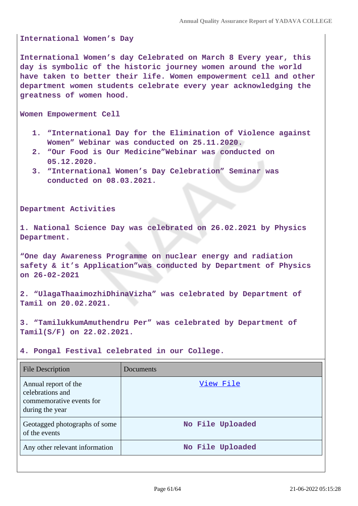**International Women's Day**

**International Women's day Celebrated on March 8 Every year, this day is symbolic of the historic journey women around the world have taken to better their life. Women empowerment cell and other department women students celebrate every year acknowledging the greatness of women hood.**

**Women Empowerment Cell**

- **1. "International Day for the Elimination of Violence against Women" Webinar was conducted on 25.11.2020.**
- **2. "Our Food is Our Medicine"Webinar was conducted on 05.12.2020.**
- **3. "International Women's Day Celebration" Seminar was conducted on 08.03.2021.**

**Department Activities**

**1. National Science Day was celebrated on 26.02.2021 by Physics Department.**

**"One day Awareness Programme on nuclear energy and radiation safety & it's Application"was conducted by Department of Physics on 26-02-2021**

**2. "UlagaThaaimozhiDhinaVizha" was celebrated by Department of Tamil on 20.02.2021.**

**3. "TamilukkumAmuthendru Per" was celebrated by Department of Tamil(S/F) on 22.02.2021.**

**4. Pongal Festival celebrated in our College.**

| <b>File Description</b>                                                                 | Documents        |
|-----------------------------------------------------------------------------------------|------------------|
| Annual report of the<br>celebrations and<br>commemorative events for<br>during the year | View File        |
| Geotagged photographs of some<br>of the events                                          | No File Uploaded |
| Any other relevant information                                                          | No File Uploaded |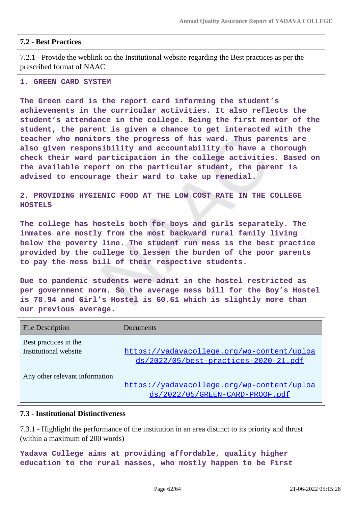### **7.2 - Best Practices**

7.2.1 - Provide the weblink on the Institutional website regarding the Best practices as per the prescribed format of NAAC

#### **1. GREEN CARD SYSTEM**

**The Green card is the report card informing the student's achievements in the curricular activities. It also reflects the student's attendance in the college. Being the first mentor of the student, the parent is given a chance to get interacted with the teacher who monitors the progress of his ward. Thus parents are also given responsibility and accountability to have a thorough check their ward participation in the college activities. Based on the available report on the particular student, the parent is advised to encourage their ward to take up remedial.**

**2. PROVIDING HYGIENIC FOOD AT THE LOW COST RATE IN THE COLLEGE HOSTELS** 

**The college has hostels both for boys and girls separately. The inmates are mostly from the most backward rural family living below the poverty line. The student run mess is the best practice provided by the college to lessen the burden of the poor parents to pay the mess bill of their respective students.**

**Due to pandemic students were admit in the hostel restricted as per government norm. So the average mess bill for the Boy's Hostel is 78.94 and Girl's Hostel is 60.61 which is slightly more than our previous average.**

| <b>File Description</b>                        | Documents                                                                           |
|------------------------------------------------|-------------------------------------------------------------------------------------|
| Best practices in the<br>Institutional website | https://yadavacollege.org/wp-content/uploa<br>ds/2022/05/best-practices-2020-21.pdf |
| Any other relevant information                 | https://yadavacollege.org/wp-content/uploa<br>ds/2022/05/GREEN-CARD-PROOF.pdf       |

#### **7.3 - Institutional Distinctiveness**

7.3.1 - Highlight the performance of the institution in an area distinct to its priority and thrust (within a maximum of 200 words)

**Yadava College aims at providing affordable, quality higher education to the rural masses, who mostly happen to be First**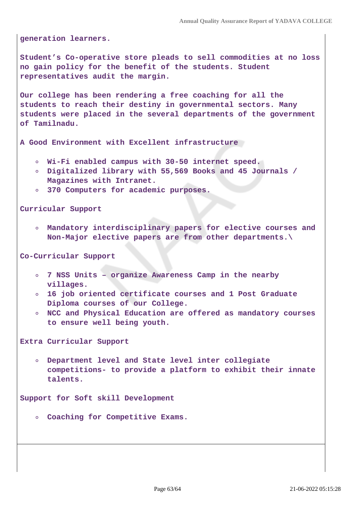**generation learners.**

**Student's Co-operative store pleads to sell commodities at no loss no gain policy for the benefit of the students. Student representatives audit the margin.**

**Our college has been rendering a free coaching for all the students to reach their destiny in governmental sectors. Many students were placed in the several departments of the government of Tamilnadu.**

**A Good Environment with Excellent infrastructure**

- **Wi-Fi enabled campus with 30-50 internet speed.**
- **Digitalized library with 55,569 Books and 45 Journals / Magazines with Intranet.**
- **370 Computers for academic purposes.**

**Curricular Support**

**Mandatory interdisciplinary papers for elective courses and Non-Major elective papers are from other departments.\**

**Co-Curricular Support**

- **7 NSS Units organize Awareness Camp in the nearby villages.**
- **16 job oriented certificate courses and 1 Post Graduate Diploma courses of our College.**
- **NCC and Physical Education are offered as mandatory courses to ensure well being youth.**

**Extra Curricular Support**

**Department level and State level inter collegiate**  $\circ$ **competitions- to provide a platform to exhibit their innate talents.**

**Support for Soft skill Development**

**Coaching for Competitive Exams.**